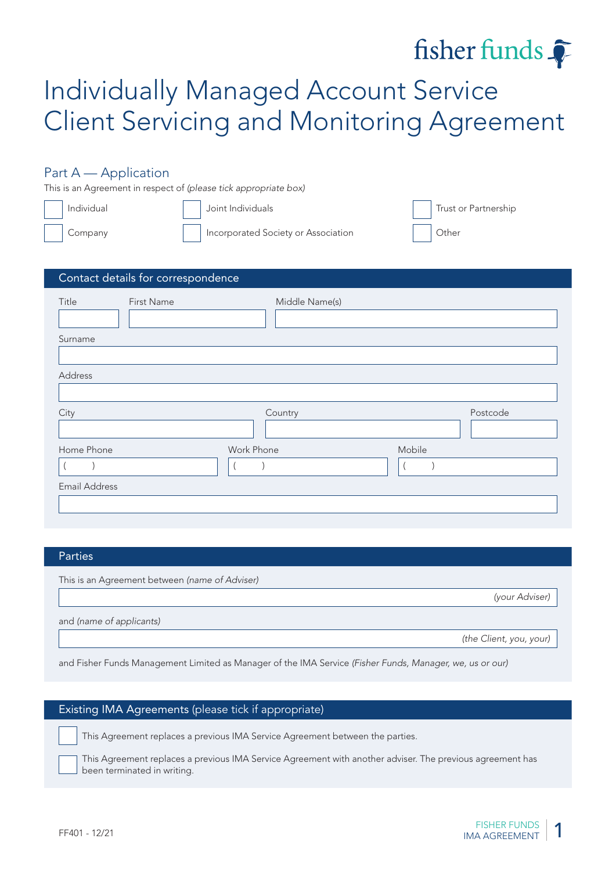# fisher funds  $\widehat{\bullet}$

# Individually Managed Account Service Client Servicing and Monitoring Agreement

# Part A — Application

This is an Agreement in respect of (please tick appropriate box)

| Individual | Joint Individuals                   | Trust or Partnership |
|------------|-------------------------------------|----------------------|
| Company    | Incorporated Society or Association | <b>Other</b>         |

| Contact details for correspondence |                |          |
|------------------------------------|----------------|----------|
| Title<br>First Name                | Middle Name(s) |          |
| Surname                            |                |          |
| Address                            |                |          |
| City                               | Country        | Postcode |
| Home Phone                         | Work Phone     | Mobile   |
| <b>Email Address</b>               |                |          |

#### Parties

This is an Agreement between (name of Adviser)

(your Adviser)

and (name of applicants)

(the Client, you, your)

and Fisher Funds Management Limited as Manager of the IMA Service (Fisher Funds, Manager, we, us or our)

#### Existing IMA Agreements (please tick if appropriate)

This Agreement replaces a previous IMA Service Agreement between the parties.

This Agreement replaces a previous IMA Service Agreement with another adviser. The previous agreement has been terminated in writing.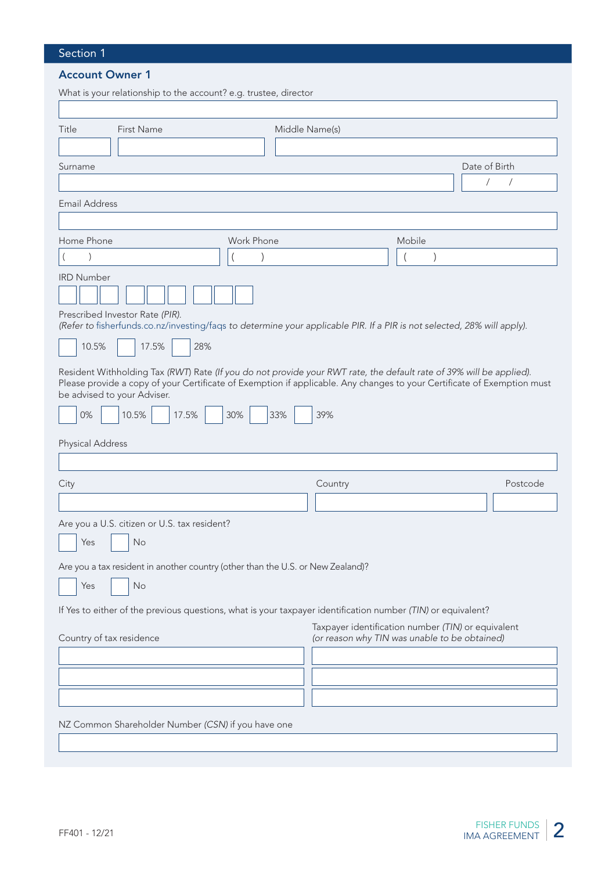# Section 1

## Account Owner 1

| What is your relationship to the account? e.g. trustee, director                                                                                                                                                                                                                                                                 |                   |                                                                                                     |                             |
|----------------------------------------------------------------------------------------------------------------------------------------------------------------------------------------------------------------------------------------------------------------------------------------------------------------------------------|-------------------|-----------------------------------------------------------------------------------------------------|-----------------------------|
| Title<br>First Name                                                                                                                                                                                                                                                                                                              | Middle Name(s)    |                                                                                                     |                             |
| Surname                                                                                                                                                                                                                                                                                                                          |                   |                                                                                                     | Date of Birth<br>$\sqrt{2}$ |
| <b>Email Address</b>                                                                                                                                                                                                                                                                                                             |                   |                                                                                                     |                             |
| Home Phone                                                                                                                                                                                                                                                                                                                       | Work Phone        | Mobile                                                                                              |                             |
| <b>IRD Number</b>                                                                                                                                                                                                                                                                                                                |                   |                                                                                                     |                             |
| Prescribed Investor Rate (PIR).<br>(Refer to fisherfunds.co.nz/investing/faqs to determine your applicable PIR. If a PIR is not selected, 28% will apply).<br>10.5%<br>17.5%<br>28%                                                                                                                                              |                   |                                                                                                     |                             |
| Resident Withholding Tax (RWT) Rate (If you do not provide your RWT rate, the default rate of 39% will be applied).<br>Please provide a copy of your Certificate of Exemption if applicable. Any changes to your Certificate of Exemption must<br>be advised to your Adviser.<br>0%<br>10.5%<br>17.5%<br><b>Physical Address</b> | 30%<br>33%<br>39% |                                                                                                     |                             |
| City                                                                                                                                                                                                                                                                                                                             | Country           |                                                                                                     | Postcode                    |
| Are you a U.S. citizen or U.S. tax resident?<br>Yes<br>No<br>Are you a tax resident in another country (other than the U.S. or New Zealand)?<br>No<br>Yes                                                                                                                                                                        |                   |                                                                                                     |                             |
| If Yes to either of the previous questions, what is your taxpayer identification number (TIN) or equivalent?                                                                                                                                                                                                                     |                   |                                                                                                     |                             |
| Country of tax residence                                                                                                                                                                                                                                                                                                         |                   | Taxpayer identification number (TIN) or equivalent<br>(or reason why TIN was unable to be obtained) |                             |
| NZ Common Shareholder Number (CSN) if you have one                                                                                                                                                                                                                                                                               |                   |                                                                                                     |                             |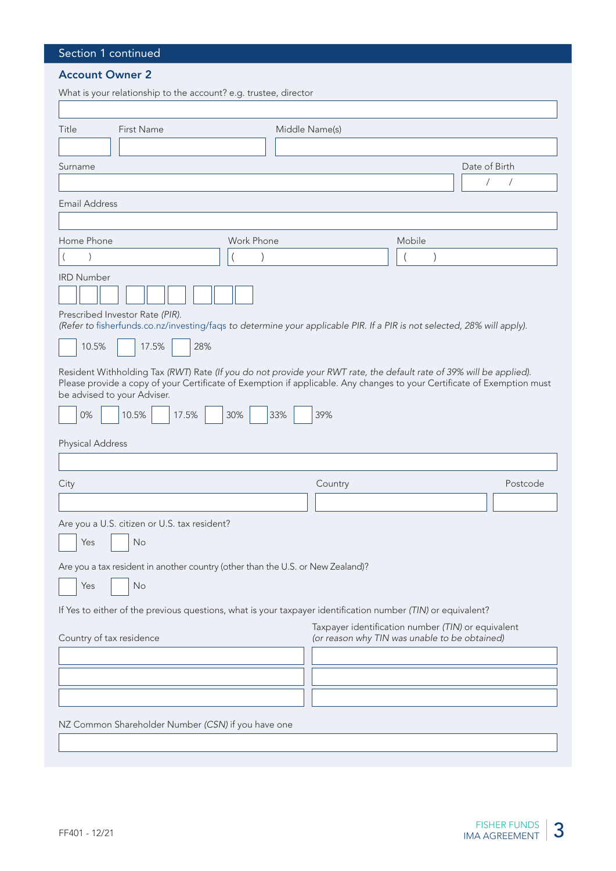# Section 1 continued

## Account Owner 2

| What is your relationship to the account? e.g. trustee, director                                                                                                                                                                                                                                                                 |                |                                                                                                     |        |                                               |
|----------------------------------------------------------------------------------------------------------------------------------------------------------------------------------------------------------------------------------------------------------------------------------------------------------------------------------|----------------|-----------------------------------------------------------------------------------------------------|--------|-----------------------------------------------|
| Title<br>First Name                                                                                                                                                                                                                                                                                                              | Middle Name(s) |                                                                                                     |        |                                               |
| Surname                                                                                                                                                                                                                                                                                                                          |                |                                                                                                     |        | Date of Birth<br>$\sqrt{2}$<br>$\overline{1}$ |
| <b>Email Address</b>                                                                                                                                                                                                                                                                                                             |                |                                                                                                     |        |                                               |
| Home Phone<br><b>IRD Number</b>                                                                                                                                                                                                                                                                                                  | Work Phone     |                                                                                                     | Mobile |                                               |
| Prescribed Investor Rate (PIR).<br>(Refer to fisherfunds.co.nz/investing/faqs to determine your applicable PIR. If a PIR is not selected, 28% will apply).<br>10.5%<br>17.5%<br>28%                                                                                                                                              |                |                                                                                                     |        |                                               |
| Resident Withholding Tax (RWT) Rate (If you do not provide your RWT rate, the default rate of 39% will be applied).<br>Please provide a copy of your Certificate of Exemption if applicable. Any changes to your Certificate of Exemption must<br>be advised to your Adviser.<br>0%<br>10.5%<br>17.5%<br><b>Physical Address</b> | 30%<br>33%     | 39%                                                                                                 |        |                                               |
| City                                                                                                                                                                                                                                                                                                                             |                | Country                                                                                             |        | Postcode                                      |
| Are you a U.S. citizen or U.S. tax resident?<br>Yes<br>No<br>Are you a tax resident in another country (other than the U.S. or New Zealand)?<br>Yes<br>No<br>If Yes to either of the previous questions, what is your taxpayer identification number (TIN) or equivalent?                                                        |                |                                                                                                     |        |                                               |
| Country of tax residence                                                                                                                                                                                                                                                                                                         |                | Taxpayer identification number (TIN) or equivalent<br>(or reason why TIN was unable to be obtained) |        |                                               |
| NZ Common Shareholder Number (CSN) if you have one                                                                                                                                                                                                                                                                               |                |                                                                                                     |        |                                               |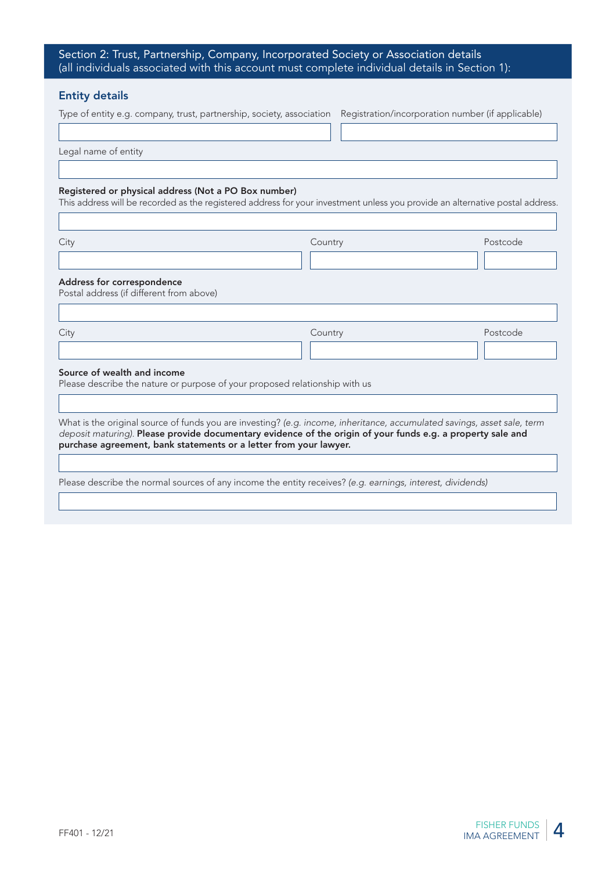| Section 2: Trust, Partnership, Company, Incorporated Society or Association details           |  |
|-----------------------------------------------------------------------------------------------|--|
| (all individuals associated with this account must complete individual details in Section 1): |  |

#### Entity details

| Type of entity e.g. company, trust, partnership, society, association Registration/incorporation number (if applicable) |  |
|-------------------------------------------------------------------------------------------------------------------------|--|
|-------------------------------------------------------------------------------------------------------------------------|--|

Legal name of entity

#### Registered or physical address (Not a PO Box number)

This address will be recorded as the registered address for your investment unless you provide an alternative postal address.

City Country Postcode Address for correspondence Postal address (if different from above) City Country Postcode Source of wealth and income Please describe the nature or purpose of your proposed relationship with us What is the original source of funds you are investing? (e.g. income, inheritance, accumulated savings, asset sale, term deposit maturing). Please provide documentary evidence of the origin of your funds e.g. a property sale and purchase agreement, bank statements or a letter from your lawyer. Please describe the normal sources of any income the entity receives? (e.g. earnings, interest, dividends)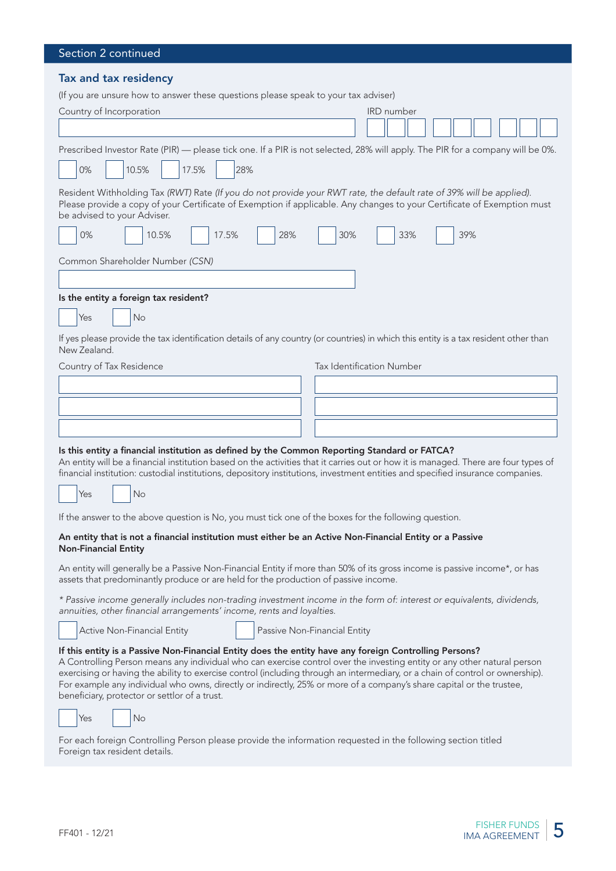| Section 2 continued                                                                                                                                                                                                                                                                                                                                                                                                                                                                                                                           |
|-----------------------------------------------------------------------------------------------------------------------------------------------------------------------------------------------------------------------------------------------------------------------------------------------------------------------------------------------------------------------------------------------------------------------------------------------------------------------------------------------------------------------------------------------|
| Tax and tax residency<br>(If you are unsure how to answer these questions please speak to your tax adviser)<br>Country of Incorporation<br>IRD number                                                                                                                                                                                                                                                                                                                                                                                         |
| Prescribed Investor Rate (PIR) — please tick one. If a PIR is not selected, 28% will apply. The PIR for a company will be 0%.<br>10.5%<br>17.5%<br>28%<br>0%                                                                                                                                                                                                                                                                                                                                                                                  |
| Resident Withholding Tax (RWT) Rate (If you do not provide your RWT rate, the default rate of 39% will be applied).<br>Please provide a copy of your Certificate of Exemption if applicable. Any changes to your Certificate of Exemption must<br>be advised to your Adviser.<br>0%<br>28%<br>30%<br>39%<br>10.5%<br>17.5%<br>33%                                                                                                                                                                                                             |
| Common Shareholder Number (CSN)                                                                                                                                                                                                                                                                                                                                                                                                                                                                                                               |
| Is the entity a foreign tax resident?<br>No<br>Yes                                                                                                                                                                                                                                                                                                                                                                                                                                                                                            |
| If yes please provide the tax identification details of any country (or countries) in which this entity is a tax resident other than<br>New Zealand.<br>Tax Identification Number<br>Country of Tax Residence                                                                                                                                                                                                                                                                                                                                 |
|                                                                                                                                                                                                                                                                                                                                                                                                                                                                                                                                               |
| Is this entity a financial institution as defined by the Common Reporting Standard or FATCA?<br>An entity will be a financial institution based on the activities that it carries out or how it is managed. There are four types of<br>financial institution: custodial institutions, depository institutions, investment entities and specified insurance companies.                                                                                                                                                                         |
| No<br>Yes                                                                                                                                                                                                                                                                                                                                                                                                                                                                                                                                     |
| If the answer to the above question is No, you must tick one of the boxes for the following question.                                                                                                                                                                                                                                                                                                                                                                                                                                         |
| An entity that is not a financial institution must either be an Active Non-Financial Entity or a Passive<br><b>Non-Financial Entity</b>                                                                                                                                                                                                                                                                                                                                                                                                       |
| An entity will generally be a Passive Non-Financial Entity if more than 50% of its gross income is passive income*, or has<br>assets that predominantly produce or are held for the production of passive income.                                                                                                                                                                                                                                                                                                                             |
| * Passive income generally includes non-trading investment income in the form of: interest or equivalents, dividends,<br>annuities, other financial arrangements' income, rents and loyalties.                                                                                                                                                                                                                                                                                                                                                |
| Active Non-Financial Entity<br>Passive Non-Financial Entity                                                                                                                                                                                                                                                                                                                                                                                                                                                                                   |
| If this entity is a Passive Non-Financial Entity does the entity have any foreign Controlling Persons?<br>A Controlling Person means any individual who can exercise control over the investing entity or any other natural person<br>exercising or having the ability to exercise control (including through an intermediary, or a chain of control or ownership).<br>For example any individual who owns, directly or indirectly, 25% or more of a company's share capital or the trustee,<br>beneficiary, protector or settlor of a trust. |
| Yes<br>No                                                                                                                                                                                                                                                                                                                                                                                                                                                                                                                                     |

For each foreign Controlling Person please provide the information requested in the following section titled Foreign tax resident details.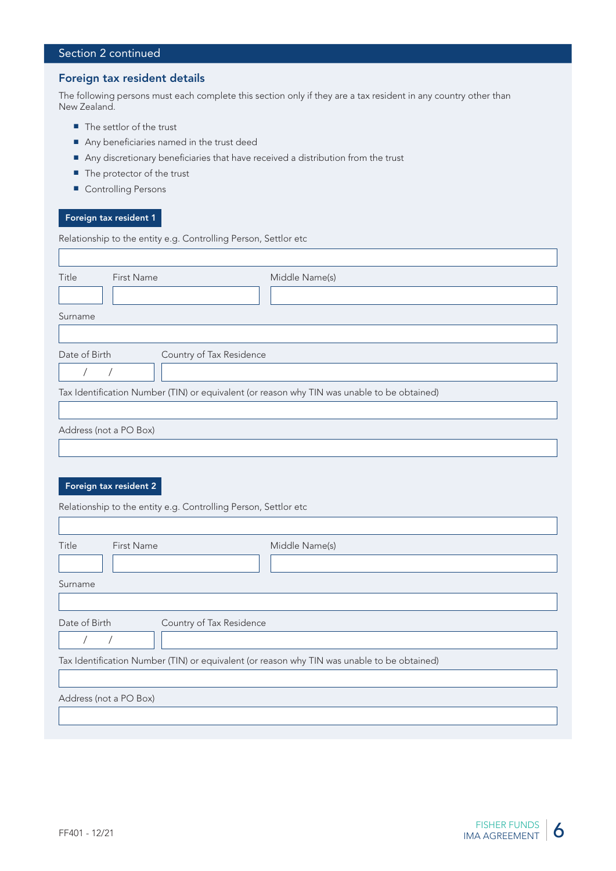# Section 2 continued

#### Foreign tax resident details

The following persons must each complete this section only if they are a tax resident in any country other than New Zealand.

- The settlor of the trust
- Any beneficiaries named in the trust deed
- Any discretionary beneficiaries that have received a distribution from the trust
- The protector of the trust
- Controlling Persons

#### Foreign tax resident 1

 $\sqrt{ }$ 

Relationship to the entity e.g. Controlling Person, Settlor etc

| Title                  | First Name                                                      | Middle Name(s)                                                                              |  |  |  |  |
|------------------------|-----------------------------------------------------------------|---------------------------------------------------------------------------------------------|--|--|--|--|
|                        |                                                                 |                                                                                             |  |  |  |  |
| Surname                |                                                                 |                                                                                             |  |  |  |  |
|                        |                                                                 |                                                                                             |  |  |  |  |
| Date of Birth          | Country of Tax Residence                                        |                                                                                             |  |  |  |  |
| $\sqrt{2}$             | $\sqrt{\phantom{a}}$                                            |                                                                                             |  |  |  |  |
|                        |                                                                 | Tax Identification Number (TIN) or equivalent (or reason why TIN was unable to be obtained) |  |  |  |  |
|                        |                                                                 |                                                                                             |  |  |  |  |
| Address (not a PO Box) |                                                                 |                                                                                             |  |  |  |  |
|                        |                                                                 |                                                                                             |  |  |  |  |
|                        |                                                                 |                                                                                             |  |  |  |  |
|                        | Foreign tax resident 2                                          |                                                                                             |  |  |  |  |
|                        | Relationship to the entity e.g. Controlling Person, Settlor etc |                                                                                             |  |  |  |  |
|                        |                                                                 |                                                                                             |  |  |  |  |
| Title                  | First Name                                                      | Middle Name(s)                                                                              |  |  |  |  |
|                        |                                                                 |                                                                                             |  |  |  |  |
| Surname                |                                                                 |                                                                                             |  |  |  |  |
|                        |                                                                 |                                                                                             |  |  |  |  |
| Date of Birth          | Country of Tax Residence                                        |                                                                                             |  |  |  |  |
| $\sqrt{2}$             | $\prime$                                                        |                                                                                             |  |  |  |  |
|                        |                                                                 | Tax Identification Number (TIN) or equivalent (or reason why TIN was unable to be obtained) |  |  |  |  |
|                        |                                                                 |                                                                                             |  |  |  |  |
| Address (not a PO Box) |                                                                 |                                                                                             |  |  |  |  |
|                        |                                                                 |                                                                                             |  |  |  |  |
|                        |                                                                 |                                                                                             |  |  |  |  |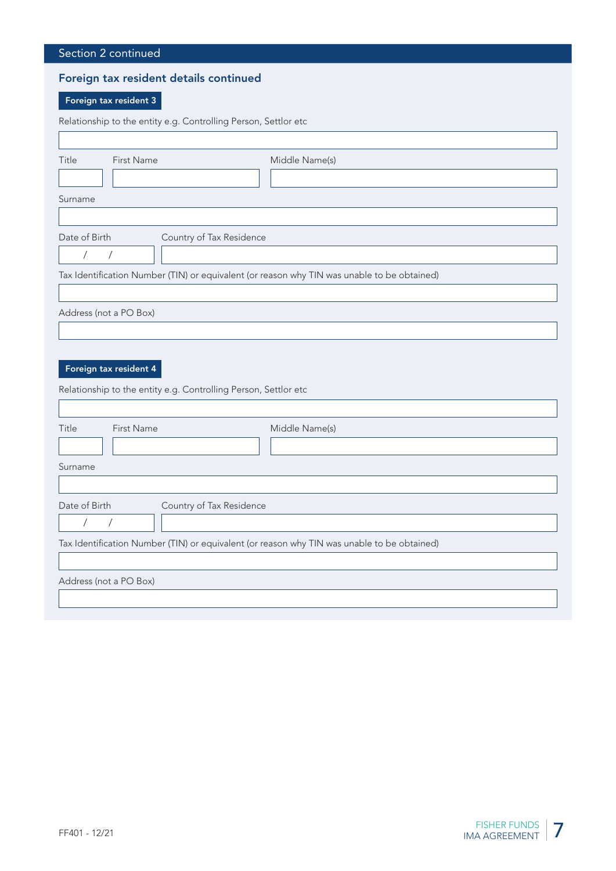| Section 2 continued                                                                         |                                                                                             |  |  |  |  |  |
|---------------------------------------------------------------------------------------------|---------------------------------------------------------------------------------------------|--|--|--|--|--|
| Foreign tax resident details continued                                                      |                                                                                             |  |  |  |  |  |
| Foreign tax resident 3                                                                      |                                                                                             |  |  |  |  |  |
|                                                                                             | Relationship to the entity e.g. Controlling Person, Settlor etc                             |  |  |  |  |  |
|                                                                                             |                                                                                             |  |  |  |  |  |
| Title<br><b>First Name</b>                                                                  | Middle Name(s)                                                                              |  |  |  |  |  |
|                                                                                             |                                                                                             |  |  |  |  |  |
| Surname                                                                                     |                                                                                             |  |  |  |  |  |
| Date of Birth                                                                               |                                                                                             |  |  |  |  |  |
| Country of Tax Residence<br>$\sqrt{2}$<br>$\overline{\phantom{a}}$                          |                                                                                             |  |  |  |  |  |
| Tax Identification Number (TIN) or equivalent (or reason why TIN was unable to be obtained) |                                                                                             |  |  |  |  |  |
|                                                                                             |                                                                                             |  |  |  |  |  |
| Address (not a PO Box)                                                                      |                                                                                             |  |  |  |  |  |
|                                                                                             |                                                                                             |  |  |  |  |  |
|                                                                                             |                                                                                             |  |  |  |  |  |
| Foreign tax resident 4                                                                      |                                                                                             |  |  |  |  |  |
| Relationship to the entity e.g. Controlling Person, Settlor etc                             |                                                                                             |  |  |  |  |  |
|                                                                                             |                                                                                             |  |  |  |  |  |
| Title<br>First Name                                                                         | Middle Name(s)                                                                              |  |  |  |  |  |
|                                                                                             |                                                                                             |  |  |  |  |  |
| Surname                                                                                     |                                                                                             |  |  |  |  |  |
| Date of Birth<br>Country of Tax Residence                                                   |                                                                                             |  |  |  |  |  |
| $\overline{1}$<br>$\prime$                                                                  |                                                                                             |  |  |  |  |  |
|                                                                                             | Tax Identification Number (TIN) or equivalent (or reason why TIN was unable to be obtained) |  |  |  |  |  |
|                                                                                             |                                                                                             |  |  |  |  |  |
| Address (not a PO Box)                                                                      |                                                                                             |  |  |  |  |  |
|                                                                                             |                                                                                             |  |  |  |  |  |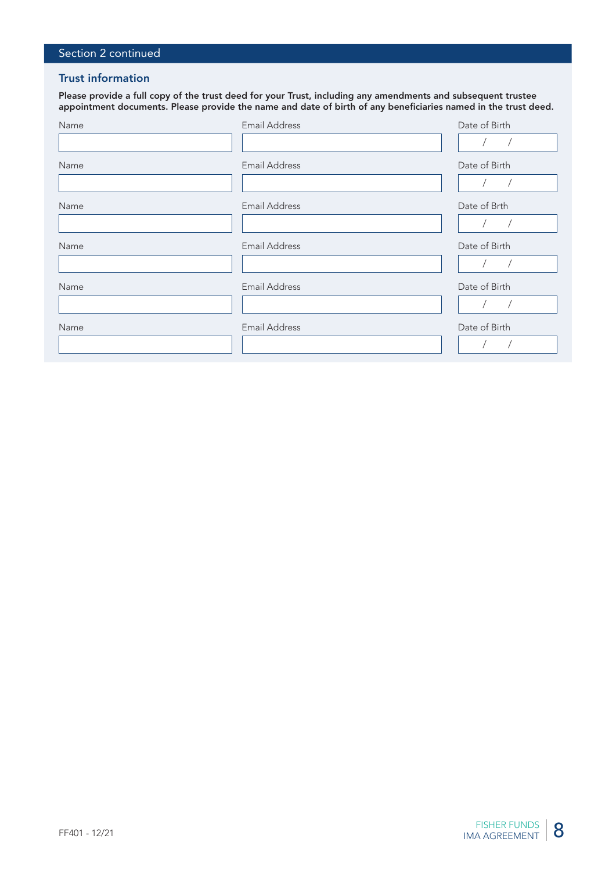# Section 2 continued

#### Trust information

Please provide a full copy of the trust deed for your Trust, including any amendments and subsequent trustee appointment documents. Please provide the name and date of birth of any beneficiaries named in the trust deed.

| Name | <b>Email Address</b> | Date of Birth |
|------|----------------------|---------------|
|      |                      |               |
| Name | Email Address        | Date of Birth |
|      |                      |               |
| Name | Email Address        | Date of Brth  |
|      |                      |               |
| Name | Email Address        | Date of Birth |
|      |                      |               |
| Name | Email Address        | Date of Birth |
|      |                      |               |
| Name | <b>Email Address</b> | Date of Birth |
|      |                      |               |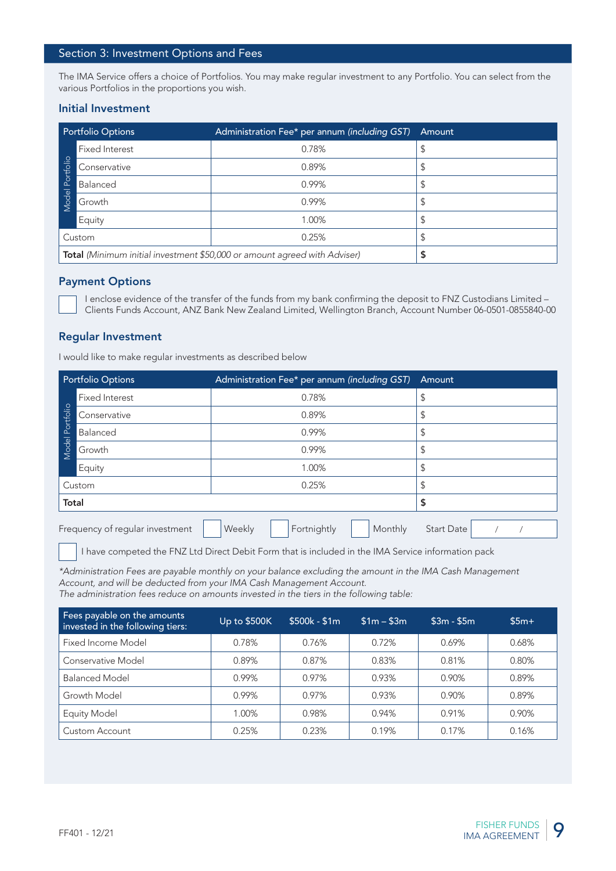#### Section 3: Investment Options and Fees

The IMA Service offers a choice of Portfolios. You may make regular investment to any Portfolio. You can select from the various Portfolios in the proportions you wish.

#### Initial Investment

| <b>Portfolio Options</b>                                                  |                       | Administration Fee* per annum (including GST) | Amount |
|---------------------------------------------------------------------------|-----------------------|-----------------------------------------------|--------|
|                                                                           | <b>Fixed Interest</b> | 0.78%                                         |        |
| Model Portfolio                                                           | Conservative          | 0.89%                                         | - ⊅    |
|                                                                           | Balanced              | 0.99%                                         | J      |
|                                                                           | Growth                | 0.99%                                         |        |
|                                                                           | Equity                | 1.00%                                         | \$     |
| Custom                                                                    |                       | 0.25%                                         | ⊋      |
| Total (Minimum initial investment \$50,000 or amount agreed with Adviser) |                       |                                               |        |

#### Payment Options

#### Regular Investment

|                 | Conservative                                                                                                                                                                                                                                                                |              | 0.89%                                                  |             | \$                |            |  |  |
|-----------------|-----------------------------------------------------------------------------------------------------------------------------------------------------------------------------------------------------------------------------------------------------------------------------|--------------|--------------------------------------------------------|-------------|-------------------|------------|--|--|
|                 | Balanced                                                                                                                                                                                                                                                                    |              | 0.99%                                                  |             | \$                |            |  |  |
| Model Portfolio | Growth                                                                                                                                                                                                                                                                      |              | 0.99%                                                  |             | \$                |            |  |  |
|                 | Equity                                                                                                                                                                                                                                                                      |              | 1.00%                                                  |             | \$                |            |  |  |
|                 | Custom                                                                                                                                                                                                                                                                      |              | 0.25%                                                  |             | \$                |            |  |  |
|                 | Total (Minimum initial investment \$50,000 or amount agreed with Adviser)                                                                                                                                                                                                   |              |                                                        |             | \$                |            |  |  |
|                 |                                                                                                                                                                                                                                                                             |              |                                                        |             |                   |            |  |  |
|                 | <b>Payment Options</b><br>I enclose evidence of the transfer of the funds from my bank confirming the deposit to FNZ Custodians Limited -<br>Clients Funds Account, ANZ Bank New Zealand Limited, Wellington Branch, Account Number 06-0501-0855840-00                      |              |                                                        |             |                   |            |  |  |
|                 | <b>Regular Investment</b><br>I would like to make regular investments as described below                                                                                                                                                                                    |              |                                                        |             |                   |            |  |  |
|                 | <b>Portfolio Options</b>                                                                                                                                                                                                                                                    |              |                                                        |             | Amount            |            |  |  |
|                 | <b>Fixed Interest</b>                                                                                                                                                                                                                                                       |              | Administration Fee* per annum (including GST)<br>0.78% |             |                   | \$         |  |  |
|                 | Conservative                                                                                                                                                                                                                                                                | 0.89%        |                                                        |             | \$                |            |  |  |
| Model Portfolio | Balanced                                                                                                                                                                                                                                                                    | 0.99%        |                                                        |             | \$                |            |  |  |
|                 | Growth                                                                                                                                                                                                                                                                      | 0.99%        |                                                        |             | \$                |            |  |  |
|                 | Equity                                                                                                                                                                                                                                                                      | 1.00%        |                                                        |             | \$                |            |  |  |
|                 | Custom                                                                                                                                                                                                                                                                      | 0.25%        |                                                        | \$          |                   |            |  |  |
| Total           |                                                                                                                                                                                                                                                                             |              |                                                        |             | \$                |            |  |  |
|                 | Frequency of regular investment                                                                                                                                                                                                                                             | Weekly       | Fortnightly                                            | Monthly     | <b>Start Date</b> | $\sqrt{2}$ |  |  |
|                 | I have competed the FNZ Ltd Direct Debit Form that is included in the IMA Service information pack                                                                                                                                                                          |              |                                                        |             |                   |            |  |  |
|                 | *Administration Fees are payable monthly on your balance excluding the amount in the IMA Cash Management<br>Account, and will be deducted from your IMA Cash Management Account.<br>The administration fees reduce on amounts invested in the tiers in the following table: |              |                                                        |             |                   |            |  |  |
|                 | Fees payable on the amounts<br>invested in the following tiers:                                                                                                                                                                                                             | Up to \$500K | $$500k - $1m$                                          | $$1m - $3m$ | $$3m - $5m$$      | $$5m+$     |  |  |
|                 | Fixed Income Model                                                                                                                                                                                                                                                          | 0.78%        | 0.76%                                                  | 0.72%       | 0.69%             | 0.68%      |  |  |
|                 | Conservative Model                                                                                                                                                                                                                                                          | 0.89%        | 0.87%                                                  | 0.83%       | 0.81%             | 0.80%      |  |  |
|                 | <b>Balanced Model</b>                                                                                                                                                                                                                                                       | 0.99%        | 0.97%                                                  | 0.93%       | 0.90%             | 0.89%      |  |  |
|                 | Growth Model                                                                                                                                                                                                                                                                | 0.99%        | 0.97%                                                  | 0.93%       | 0.90%             | 0.89%      |  |  |
|                 | <b>Equity Model</b>                                                                                                                                                                                                                                                         | 1.00%        | 0.98%                                                  | 0.94%       | 0.91%             | 0.90%      |  |  |
|                 | Custom Account                                                                                                                                                                                                                                                              | 0.25%        | 0.23%                                                  | 0.19%       | 0.17%             | 0.16%      |  |  |

| Fees payable on the amounts<br>invested in the following tiers: | Up to \$500K | $$500k - $1m$ | $$1m - $3m$ | $$3m - $5m$ | $$5m+$ |
|-----------------------------------------------------------------|--------------|---------------|-------------|-------------|--------|
| Fixed Income Model                                              | 0.78%        | 0.76%         | 0.72%       | 0.69%       | 0.68%  |
| Conservative Model                                              | 0.89%        | 0.87%         | 0.83%       | 0.81%       | 0.80%  |
| <b>Balanced Model</b>                                           | 0.99%        | 0.97%         | 0.93%       | 0.90%       | 0.89%  |
| Growth Model                                                    | 0.99%        | 0.97%         | 0.93%       | 0.90%       | 0.89%  |
| <b>Equity Model</b>                                             | $0.00\%$     | 0.98%         | 0.94%       | 0.91%       | 0.90%  |
| <b>Custom Account</b>                                           | 0.25%        | 0.23%         | 0.19%       | 0.17%       | 0.16%  |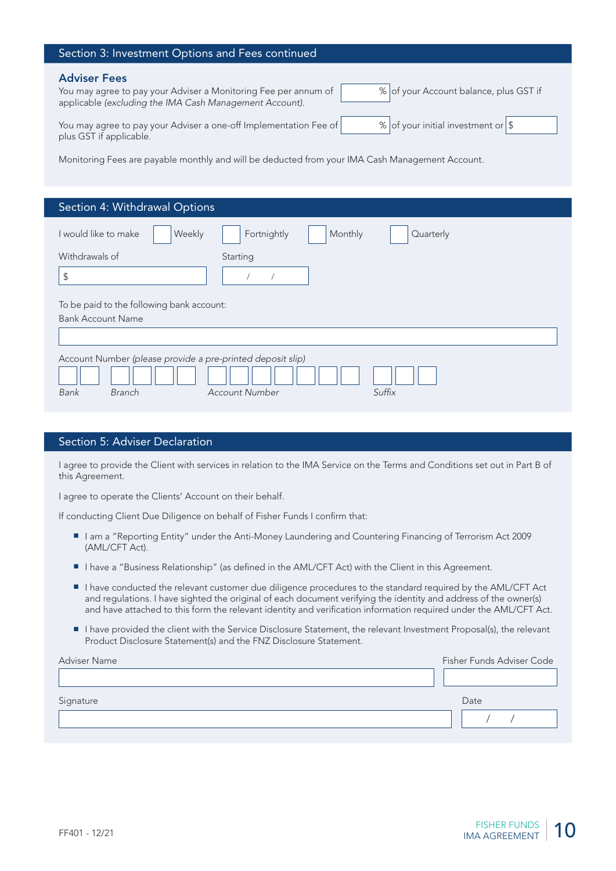| Section 3: Investment Options and Fees continued                                                                                                                                                                                                                                                                                  |
|-----------------------------------------------------------------------------------------------------------------------------------------------------------------------------------------------------------------------------------------------------------------------------------------------------------------------------------|
| <b>Adviser Fees</b><br>% of your Account balance, plus GST if<br>You may agree to pay your Adviser a Monitoring Fee per annum of<br>applicable (excluding the IMA Cash Management Account).<br>% of your initial investment or \$<br>You may agree to pay your Adviser a one-off Implementation Fee of<br>plus GST if applicable. |
| Monitoring Fees are payable monthly and will be deducted from your IMA Cash Management Account.                                                                                                                                                                                                                                   |
|                                                                                                                                                                                                                                                                                                                                   |
|                                                                                                                                                                                                                                                                                                                                   |
| Section 4: Withdrawal Options                                                                                                                                                                                                                                                                                                     |

| I would like to make                                       | Weekly                                    | Fortnightly    | Monthly | Quarterly |  |
|------------------------------------------------------------|-------------------------------------------|----------------|---------|-----------|--|
| Withdrawals of                                             |                                           | Starting       |         |           |  |
| $\sqrt{2}$                                                 |                                           |                |         |           |  |
|                                                            |                                           |                |         |           |  |
|                                                            | To be paid to the following bank account: |                |         |           |  |
|                                                            |                                           |                |         |           |  |
| <b>Bank Account Name</b>                                   |                                           |                |         |           |  |
|                                                            |                                           |                |         |           |  |
|                                                            |                                           |                |         |           |  |
| Account Number (please provide a pre-printed deposit slip) |                                           |                |         |           |  |
|                                                            |                                           |                |         |           |  |
|                                                            |                                           |                |         |           |  |
| Bank                                                       | <b>Branch</b>                             | Account Number |         | Suffix    |  |
|                                                            |                                           |                |         |           |  |

#### Section 5: Adviser Declaration

I agree to provide the Client with services in relation to the IMA Service on the Terms and Conditions set out in Part B of this Agreement.

I agree to operate the Clients' Account on their behalf.

If conducting Client Due Diligence on behalf of Fisher Funds I confirm that:

- I am a "Reporting Entity" under the Anti-Money Laundering and Countering Financing of Terrorism Act 2009 (AML/CFT Act).
- I have a "Business Relationship" (as defined in the AML/CFT Act) with the Client in this Agreement.
- I have conducted the relevant customer due diligence procedures to the standard required by the AML/CFT Act and regulations. I have sighted the original of each document verifying the identity and address of the owner(s) and have attached to this form the relevant identity and verification information required under the AML/CFT Act.
- I have provided the client with the Service Disclosure Statement, the relevant Investment Proposal(s), the relevant Product Disclosure Statement(s) and the FNZ Disclosure Statement.

| Adviser Name | Fisher Funds Adviser Code |
|--------------|---------------------------|
|              |                           |
| Signature    | Date                      |
|              |                           |
|              |                           |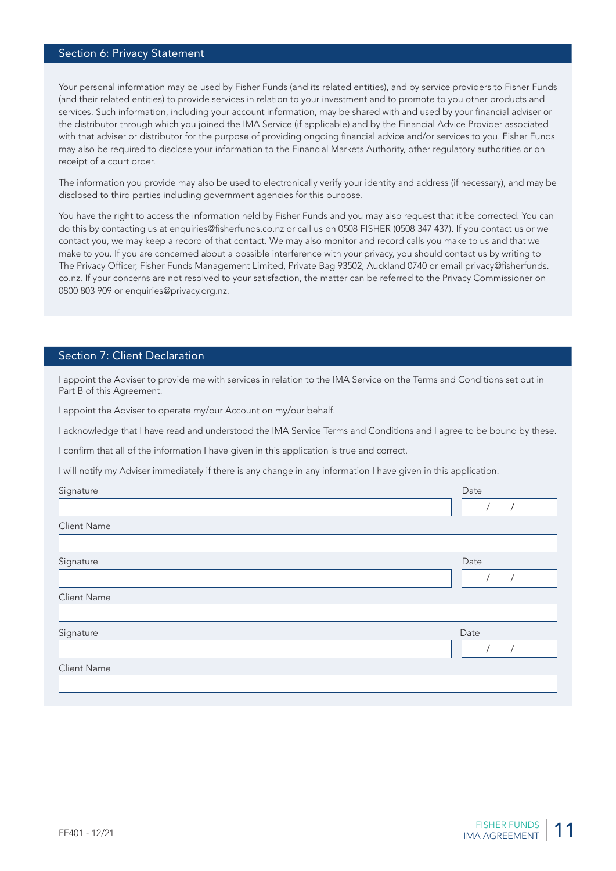#### Section 6: Privacy Statement

Your personal information may be used by Fisher Funds (and its related entities), and by service providers to Fisher Funds (and their related entities) to provide services in relation to your investment and to promote to you other products and services. Such information, including your account information, may be shared with and used by your financial adviser or the distributor through which you joined the IMA Service (if applicable) and by the Financial Advice Provider associated with that adviser or distributor for the purpose of providing ongoing financial advice and/or services to you. Fisher Funds may also be required to disclose your information to the Financial Markets Authority, other regulatory authorities or on receipt of a court order.

The information you provide may also be used to electronically verify your identity and address (if necessary), and may be disclosed to third parties including government agencies for this purpose.

You have the right to access the information held by Fisher Funds and you may also request that it be corrected. You can do this by contacting us at enquiries@fisherfunds.co.nz or call us on 0508 FISHER (0508 347 437). If you contact us or we contact you, we may keep a record of that contact. We may also monitor and record calls you make to us and that we make to you. If you are concerned about a possible interference with your privacy, you should contact us by writing to The Privacy Officer, Fisher Funds Management Limited, Private Bag 93502, Auckland 0740 or email privacy@fisherfunds. co.nz. If your concerns are not resolved to your satisfaction, the matter can be referred to the Privacy Commissioner on 0800 803 909 or enquiries@privacy.org.nz.

#### Section 7: Client Declaration

I appoint the Adviser to provide me with services in relation to the IMA Service on the Terms and Conditions set out in Part B of this Agreement.

I appoint the Adviser to operate my/our Account on my/our behalf.

I acknowledge that I have read and understood the IMA Service Terms and Conditions and I agree to be bound by these.

I confirm that all of the information I have given in this application is true and correct.

I will notify my Adviser immediately if there is any change in any information I have given in this application.

| Signature   | Date |
|-------------|------|
|             |      |
| Client Name |      |
|             |      |
| Signature   | Date |
|             |      |
| Client Name |      |
|             |      |
| Signature   | Date |
|             |      |
| Client Name |      |
|             |      |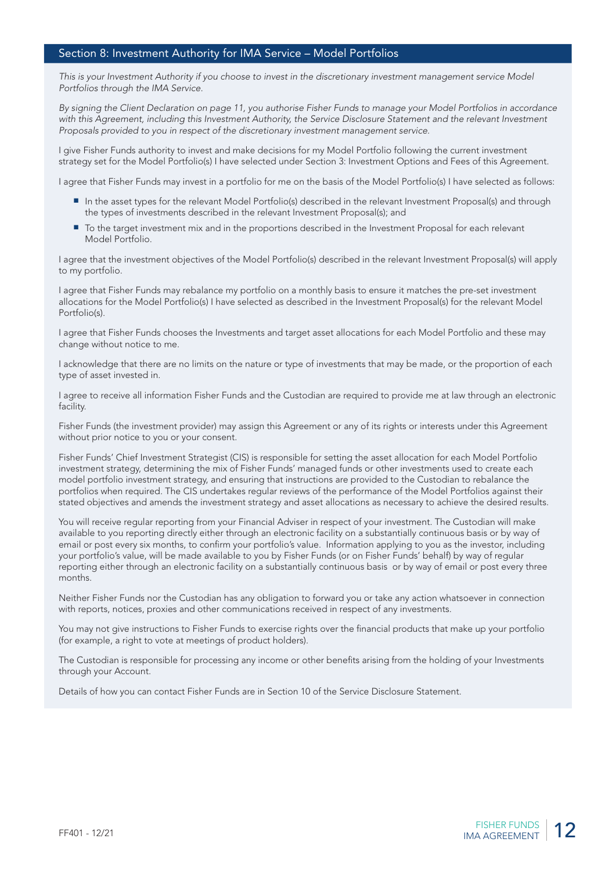#### Section 8: Investment Authority for IMA Service – Model Portfolios

This is your Investment Authority if you choose to invest in the discretionary investment management service Model Portfolios through the IMA Service.

By signing the Client Declaration on page 11, you authorise Fisher Funds to manage your Model Portfolios in accordance with this Agreement, including this Investment Authority, the Service Disclosure Statement and the relevant Investment Proposals provided to you in respect of the discretionary investment management service.

I give Fisher Funds authority to invest and make decisions for my Model Portfolio following the current investment strategy set for the Model Portfolio(s) I have selected under Section 3: Investment Options and Fees of this Agreement.

I agree that Fisher Funds may invest in a portfolio for me on the basis of the Model Portfolio(s) I have selected as follows:

- In the asset types for the relevant Model Portfolio(s) described in the relevant Investment Proposal(s) and through the types of investments described in the relevant Investment Proposal(s); and
- To the target investment mix and in the proportions described in the Investment Proposal for each relevant Model Portfolio.

I agree that the investment objectives of the Model Portfolio(s) described in the relevant Investment Proposal(s) will apply to my portfolio.

I agree that Fisher Funds may rebalance my portfolio on a monthly basis to ensure it matches the pre-set investment allocations for the Model Portfolio(s) I have selected as described in the Investment Proposal(s) for the relevant Model Portfolio(s).

I agree that Fisher Funds chooses the Investments and target asset allocations for each Model Portfolio and these may change without notice to me.

I acknowledge that there are no limits on the nature or type of investments that may be made, or the proportion of each type of asset invested in.

I agree to receive all information Fisher Funds and the Custodian are required to provide me at law through an electronic facility.

Fisher Funds (the investment provider) may assign this Agreement or any of its rights or interests under this Agreement without prior notice to you or your consent.

Fisher Funds' Chief Investment Strategist (CIS) is responsible for setting the asset allocation for each Model Portfolio investment strategy, determining the mix of Fisher Funds' managed funds or other investments used to create each model portfolio investment strategy, and ensuring that instructions are provided to the Custodian to rebalance the portfolios when required. The CIS undertakes regular reviews of the performance of the Model Portfolios against their stated objectives and amends the investment strategy and asset allocations as necessary to achieve the desired results.

You will receive regular reporting from your Financial Adviser in respect of your investment. The Custodian will make available to you reporting directly either through an electronic facility on a substantially continuous basis or by way of email or post every six months, to confirm your portfolio's value. Information applying to you as the investor, including your portfolio's value, will be made available to you by Fisher Funds (or on Fisher Funds' behalf) by way of regular reporting either through an electronic facility on a substantially continuous basis or by way of email or post every three months.

Neither Fisher Funds nor the Custodian has any obligation to forward you or take any action whatsoever in connection with reports, notices, proxies and other communications received in respect of any investments.

You may not give instructions to Fisher Funds to exercise rights over the financial products that make up your portfolio (for example, a right to vote at meetings of product holders).

The Custodian is responsible for processing any income or other benefits arising from the holding of your Investments through your Account.

Details of how you can contact Fisher Funds are in Section 10 of the Service Disclosure Statement.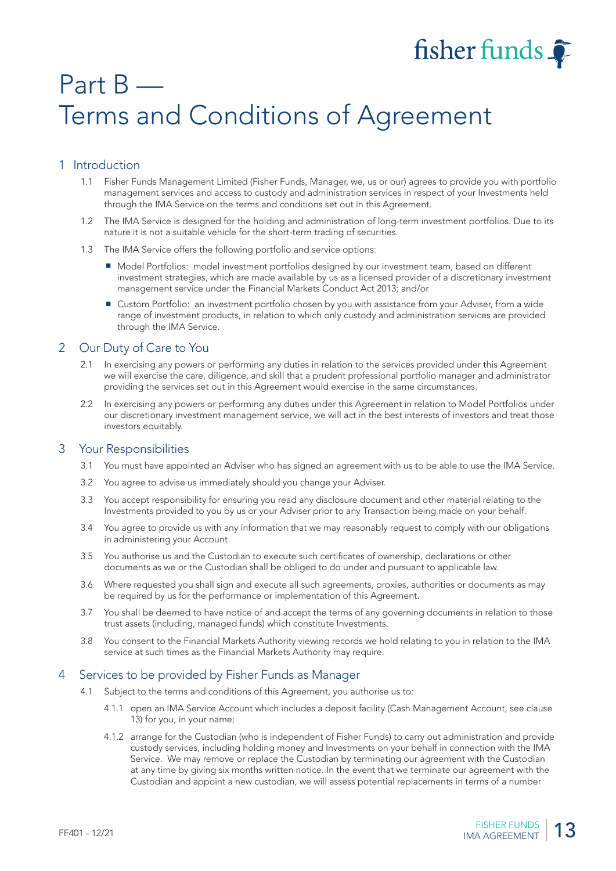# fisher funds

# Part B — Terms and Conditions of Agreement

# 1 Introduction

- 1.1 Fisher Funds Management Limited (Fisher Funds, Manager, we, us or our) agrees to provide you with portfolio management services and access to custody and administration services in respect of your Investments held through the IMA Service on the terms and conditions set out in this Agreement.
- 1.2 The IMA Service is designed for the holding and administration of long-term investment portfolios. Due to its nature it is not a suitable vehicle for the short-term trading of securities.
- 1.3 The IMA Service offers the following portfolio and service options:
	- Model Portfolios: model investment portfolios designed by our investment team, based on different investment strategies, which are made available by us as a licensed provider of a discretionary investment management service under the Financial Markets Conduct Act 2013; and/or
	- Custom Portfolio: an investment portfolio chosen by you with assistance from your Adviser, from a wide range of investment products, in relation to which only custody and administration services are provided through the IMA Service.

# 2 Our Duty of Care to You

- 2.1 In exercising any powers or performing any duties in relation to the services provided under this Agreement we will exercise the care, diligence, and skill that a prudent professional portfolio manager and administrator providing the services set out in this Agreement would exercise in the same circumstances.
- 2.2 In exercising any powers or performing any duties under this Agreement in relation to Model Portfolios under our discretionary investment management service, we will act in the best interests of investors and treat those investors equitably.

#### 3 Your Responsibilities

- 3.1 You must have appointed an Adviser who has signed an agreement with us to be able to use the IMA Service.
- 3.2 You agree to advise us immediately should you change your Adviser.
- 3.3 You accept responsibility for ensuring you read any disclosure document and other material relating to the Investments provided to you by us or your Adviser prior to any Transaction being made on your behalf.
- 3.4 You agree to provide us with any information that we may reasonably request to comply with our obligations in administering your Account.
- 3.5 You authorise us and the Custodian to execute such certificates of ownership, declarations or other documents as we or the Custodian shall be obliged to do under and pursuant to applicable law.
- 3.6 Where requested you shall sign and execute all such agreements, proxies, authorities or documents as may be required by us for the performance or implementation of this Agreement.
- 3.7 You shall be deemed to have notice of and accept the terms of any governing documents in relation to those trust assets (including, managed funds) which constitute Investments.
- 3.8 You consent to the Financial Markets Authority viewing records we hold relating to you in relation to the IMA service at such times as the Financial Markets Authority may require.

#### 4 Services to be provided by Fisher Funds as Manager

- 4.1 Subject to the terms and conditions of this Agreement, you authorise us to:
	- 4.1.1 open an IMA Service Account which includes a deposit facility (Cash Management Account, see clause 13) for you, in your name;
	- 4.1.2 arrange for the Custodian (who is independent of Fisher Funds) to carry out administration and provide custody services, including holding money and Investments on your behalf in connection with the IMA Service. We may remove or replace the Custodian by terminating our agreement with the Custodian at any time by giving six months written notice. In the event that we terminate our agreement with the Custodian and appoint a new custodian, we will assess potential replacements in terms of a number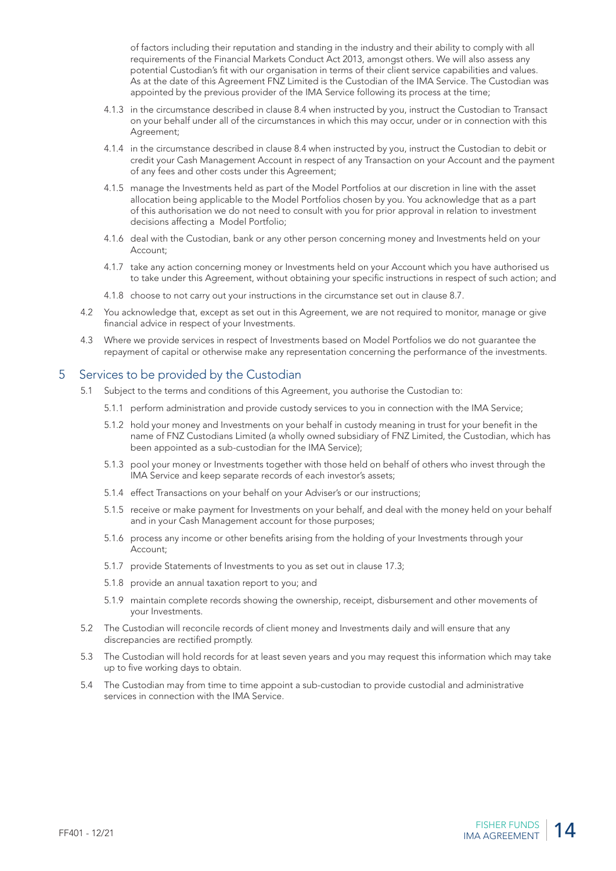of factors including their reputation and standing in the industry and their ability to comply with all requirements of the Financial Markets Conduct Act 2013, amongst others. We will also assess any potential Custodian's fit with our organisation in terms of their client service capabilities and values. As at the date of this Agreement FNZ Limited is the Custodian of the IMA Service. The Custodian was appointed by the previous provider of the IMA Service following its process at the time;

- 4.1.3 in the circumstance described in clause 8.4 when instructed by you, instruct the Custodian to Transact on your behalf under all of the circumstances in which this may occur, under or in connection with this Agreement;
- 4.1.4 in the circumstance described in clause 8.4 when instructed by you, instruct the Custodian to debit or credit your Cash Management Account in respect of any Transaction on your Account and the payment of any fees and other costs under this Agreement;
- 4.1.5 manage the Investments held as part of the Model Portfolios at our discretion in line with the asset allocation being applicable to the Model Portfolios chosen by you. You acknowledge that as a part of this authorisation we do not need to consult with you for prior approval in relation to investment decisions affecting a Model Portfolio;
- 4.1.6 deal with the Custodian, bank or any other person concerning money and Investments held on your Account;
- 4.1.7 take any action concerning money or Investments held on your Account which you have authorised us to take under this Agreement, without obtaining your specific instructions in respect of such action; and
- 4.1.8 choose to not carry out your instructions in the circumstance set out in clause 8.7.
- 4.2 You acknowledge that, except as set out in this Agreement, we are not required to monitor, manage or give financial advice in respect of your Investments.
- 4.3 Where we provide services in respect of Investments based on Model Portfolios we do not guarantee the repayment of capital or otherwise make any representation concerning the performance of the investments.

#### 5 Services to be provided by the Custodian

- 5.1 Subject to the terms and conditions of this Agreement, you authorise the Custodian to:
	- 5.1.1 perform administration and provide custody services to you in connection with the IMA Service;
	- 5.1.2 hold your money and Investments on your behalf in custody meaning in trust for your benefit in the name of FNZ Custodians Limited (a wholly owned subsidiary of FNZ Limited, the Custodian, which has been appointed as a sub-custodian for the IMA Service);
	- 5.1.3 pool your money or Investments together with those held on behalf of others who invest through the IMA Service and keep separate records of each investor's assets;
	- 5.1.4 effect Transactions on your behalf on your Adviser's or our instructions;
	- 5.1.5 receive or make payment for Investments on your behalf, and deal with the money held on your behalf and in your Cash Management account for those purposes;
	- 5.1.6 process any income or other benefits arising from the holding of your Investments through your Account;
	- 5.1.7 provide Statements of Investments to you as set out in clause 17.3;
	- 5.1.8 provide an annual taxation report to you; and
	- 5.1.9 maintain complete records showing the ownership, receipt, disbursement and other movements of your Investments.
- 5.2 The Custodian will reconcile records of client money and Investments daily and will ensure that any discrepancies are rectified promptly.
- 5.3 The Custodian will hold records for at least seven years and you may request this information which may take up to five working days to obtain.
- 5.4 The Custodian may from time to time appoint a sub-custodian to provide custodial and administrative services in connection with the IMA Service.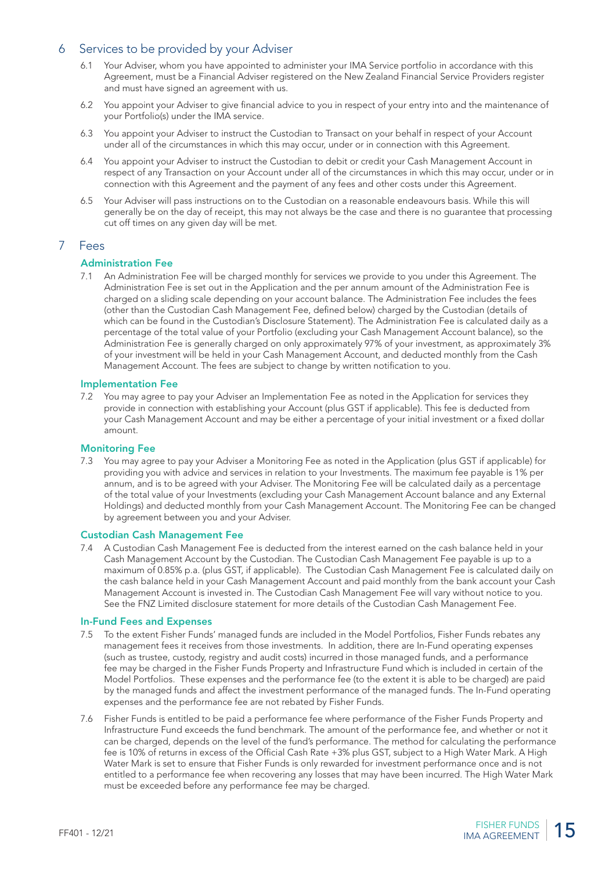#### 6 Services to be provided by your Adviser

- 6.1 Your Adviser, whom you have appointed to administer your IMA Service portfolio in accordance with this Agreement, must be a Financial Adviser registered on the New Zealand Financial Service Providers register and must have signed an agreement with us.
- 6.2 You appoint your Adviser to give financial advice to you in respect of your entry into and the maintenance of your Portfolio(s) under the IMA service.
- 6.3 You appoint your Adviser to instruct the Custodian to Transact on your behalf in respect of your Account under all of the circumstances in which this may occur, under or in connection with this Agreement.
- 6.4 You appoint your Adviser to instruct the Custodian to debit or credit your Cash Management Account in respect of any Transaction on your Account under all of the circumstances in which this may occur, under or in connection with this Agreement and the payment of any fees and other costs under this Agreement.
- 6.5 Your Adviser will pass instructions on to the Custodian on a reasonable endeavours basis. While this will generally be on the day of receipt, this may not always be the case and there is no guarantee that processing cut off times on any given day will be met.

#### 7 Fees

#### Administration Fee

7.1 An Administration Fee will be charged monthly for services we provide to you under this Agreement. The Administration Fee is set out in the Application and the per annum amount of the Administration Fee is charged on a sliding scale depending on your account balance. The Administration Fee includes the fees (other than the Custodian Cash Management Fee, defined below) charged by the Custodian (details of which can be found in the Custodian's Disclosure Statement). The Administration Fee is calculated daily as a percentage of the total value of your Portfolio (excluding your Cash Management Account balance), so the Administration Fee is generally charged on only approximately 97% of your investment, as approximately 3% of your investment will be held in your Cash Management Account, and deducted monthly from the Cash Management Account. The fees are subject to change by written notification to you.

#### Implementation Fee

7.2 You may agree to pay your Adviser an Implementation Fee as noted in the Application for services they provide in connection with establishing your Account (plus GST if applicable). This fee is deducted from your Cash Management Account and may be either a percentage of your initial investment or a fixed dollar amount.

#### Monitoring Fee

7.3 You may agree to pay your Adviser a Monitoring Fee as noted in the Application (plus GST if applicable) for providing you with advice and services in relation to your Investments. The maximum fee payable is 1% per annum, and is to be agreed with your Adviser. The Monitoring Fee will be calculated daily as a percentage of the total value of your Investments (excluding your Cash Management Account balance and any External Holdings) and deducted monthly from your Cash Management Account. The Monitoring Fee can be changed by agreement between you and your Adviser.

#### Custodian Cash Management Fee

7.4 A Custodian Cash Management Fee is deducted from the interest earned on the cash balance held in your Cash Management Account by the Custodian. The Custodian Cash Management Fee payable is up to a maximum of 0.85% p.a. (plus GST, if applicable). The Custodian Cash Management Fee is calculated daily on the cash balance held in your Cash Management Account and paid monthly from the bank account your Cash Management Account is invested in. The Custodian Cash Management Fee will vary without notice to you. See the FNZ Limited disclosure statement for more details of the Custodian Cash Management Fee.

#### In-Fund Fees and Expenses

- 7.5 To the extent Fisher Funds' managed funds are included in the Model Portfolios, Fisher Funds rebates any management fees it receives from those investments. In addition, there are In-Fund operating expenses (such as trustee, custody, registry and audit costs) incurred in those managed funds, and a performance fee may be charged in the Fisher Funds Property and Infrastructure Fund which is included in certain of the Model Portfolios. These expenses and the performance fee (to the extent it is able to be charged) are paid by the managed funds and affect the investment performance of the managed funds. The In-Fund operating expenses and the performance fee are not rebated by Fisher Funds.
- 7.6 Fisher Funds is entitled to be paid a performance fee where performance of the Fisher Funds Property and Infrastructure Fund exceeds the fund benchmark. The amount of the performance fee, and whether or not it can be charged, depends on the level of the fund's performance. The method for calculating the performance fee is 10% of returns in excess of the Official Cash Rate +3% plus GST, subject to a High Water Mark. A High Water Mark is set to ensure that Fisher Funds is only rewarded for investment performance once and is not entitled to a performance fee when recovering any losses that may have been incurred. The High Water Mark must be exceeded before any performance fee may be charged.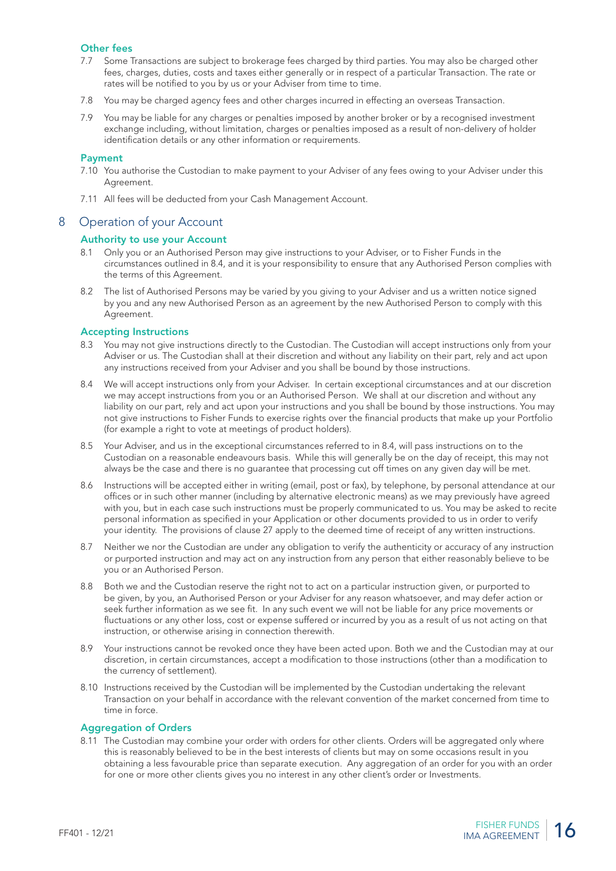#### Other fees

- 7.7 Some Transactions are subject to brokerage fees charged by third parties. You may also be charged other fees, charges, duties, costs and taxes either generally or in respect of a particular Transaction. The rate or rates will be notified to you by us or your Adviser from time to time.
- 7.8 You may be charged agency fees and other charges incurred in effecting an overseas Transaction.
- 7.9 You may be liable for any charges or penalties imposed by another broker or by a recognised investment exchange including, without limitation, charges or penalties imposed as a result of non-delivery of holder identification details or any other information or requirements.

#### Payment

- 7.10 You authorise the Custodian to make payment to your Adviser of any fees owing to your Adviser under this Agreement.
- 7.11 All fees will be deducted from your Cash Management Account.

#### 8 Operation of your Account

#### Authority to use your Account

- 8.1 Only you or an Authorised Person may give instructions to your Adviser, or to Fisher Funds in the circumstances outlined in 8.4, and it is your responsibility to ensure that any Authorised Person complies with the terms of this Agreement.
- 8.2 The list of Authorised Persons may be varied by you giving to your Adviser and us a written notice signed by you and any new Authorised Person as an agreement by the new Authorised Person to comply with this Agreement.

#### Accepting Instructions

- 8.3 You may not give instructions directly to the Custodian. The Custodian will accept instructions only from your Adviser or us. The Custodian shall at their discretion and without any liability on their part, rely and act upon any instructions received from your Adviser and you shall be bound by those instructions.
- 8.4 We will accept instructions only from your Adviser. In certain exceptional circumstances and at our discretion we may accept instructions from you or an Authorised Person. We shall at our discretion and without any liability on our part, rely and act upon your instructions and you shall be bound by those instructions. You may not give instructions to Fisher Funds to exercise rights over the financial products that make up your Portfolio (for example a right to vote at meetings of product holders).
- 8.5 Your Adviser, and us in the exceptional circumstances referred to in 8.4, will pass instructions on to the Custodian on a reasonable endeavours basis. While this will generally be on the day of receipt, this may not always be the case and there is no guarantee that processing cut off times on any given day will be met.
- 8.6 Instructions will be accepted either in writing (email, post or fax), by telephone, by personal attendance at our offices or in such other manner (including by alternative electronic means) as we may previously have agreed with you, but in each case such instructions must be properly communicated to us. You may be asked to recite personal information as specified in your Application or other documents provided to us in order to verify your identity. The provisions of clause 27 apply to the deemed time of receipt of any written instructions.
- 8.7 Neither we nor the Custodian are under any obligation to verify the authenticity or accuracy of any instruction or purported instruction and may act on any instruction from any person that either reasonably believe to be you or an Authorised Person.
- 8.8 Both we and the Custodian reserve the right not to act on a particular instruction given, or purported to be given, by you, an Authorised Person or your Adviser for any reason whatsoever, and may defer action or seek further information as we see fit. In any such event we will not be liable for any price movements or fluctuations or any other loss, cost or expense suffered or incurred by you as a result of us not acting on that instruction, or otherwise arising in connection therewith.
- 8.9 Your instructions cannot be revoked once they have been acted upon. Both we and the Custodian may at our discretion, in certain circumstances, accept a modification to those instructions (other than a modification to the currency of settlement).
- 8.10 Instructions received by the Custodian will be implemented by the Custodian undertaking the relevant Transaction on your behalf in accordance with the relevant convention of the market concerned from time to time in force.

#### Aggregation of Orders

8.11 The Custodian may combine your order with orders for other clients. Orders will be aggregated only where this is reasonably believed to be in the best interests of clients but may on some occasions result in you obtaining a less favourable price than separate execution. Any aggregation of an order for you with an order for one or more other clients gives you no interest in any other client's order or Investments.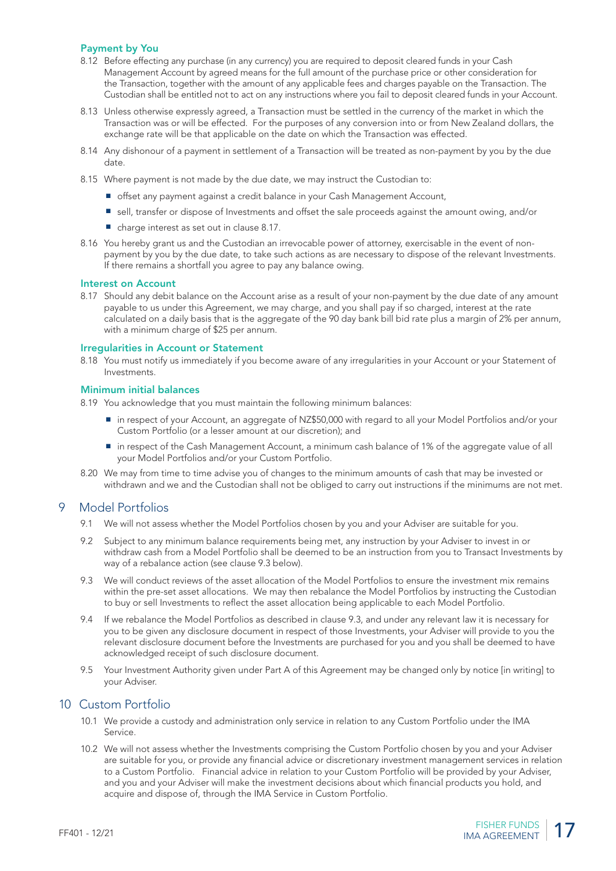#### Payment by You

- 8.12 Before effecting any purchase (in any currency) you are required to deposit cleared funds in your Cash Management Account by agreed means for the full amount of the purchase price or other consideration for the Transaction, together with the amount of any applicable fees and charges payable on the Transaction. The Custodian shall be entitled not to act on any instructions where you fail to deposit cleared funds in your Account.
- 8.13 Unless otherwise expressly agreed, a Transaction must be settled in the currency of the market in which the Transaction was or will be effected. For the purposes of any conversion into or from New Zealand dollars, the exchange rate will be that applicable on the date on which the Transaction was effected.
- 8.14 Any dishonour of a payment in settlement of a Transaction will be treated as non-payment by you by the due date.
- 8.15 Where payment is not made by the due date, we may instruct the Custodian to:
	- offset any payment against a credit balance in your Cash Management Account,
	- sell, transfer or dispose of Investments and offset the sale proceeds against the amount owing, and/or
	- charge interest as set out in clause 8.17.
- 8.16 You hereby grant us and the Custodian an irrevocable power of attorney, exercisable in the event of nonpayment by you by the due date, to take such actions as are necessary to dispose of the relevant Investments. If there remains a shortfall you agree to pay any balance owing.

#### Interest on Account

8.17 Should any debit balance on the Account arise as a result of your non-payment by the due date of any amount payable to us under this Agreement, we may charge, and you shall pay if so charged, interest at the rate calculated on a daily basis that is the aggregate of the 90 day bank bill bid rate plus a margin of 2% per annum, with a minimum charge of \$25 per annum.

#### Irregularities in Account or Statement

8.18 You must notify us immediately if you become aware of any irregularities in your Account or your Statement of Investments.

#### Minimum initial balances

8.19 You acknowledge that you must maintain the following minimum balances:

- in respect of your Account, an aggregate of NZ\$50,000 with regard to all your Model Portfolios and/or your Custom Portfolio (or a lesser amount at our discretion); and
- in respect of the Cash Management Account, a minimum cash balance of 1% of the aggregate value of all your Model Portfolios and/or your Custom Portfolio.
- 8.20 We may from time to time advise you of changes to the minimum amounts of cash that may be invested or withdrawn and we and the Custodian shall not be obliged to carry out instructions if the minimums are not met.

#### 9 Model Portfolios

- 9.1 We will not assess whether the Model Portfolios chosen by you and your Adviser are suitable for you.
- 9.2 Subject to any minimum balance requirements being met, any instruction by your Adviser to invest in or withdraw cash from a Model Portfolio shall be deemed to be an instruction from you to Transact Investments by way of a rebalance action (see clause 9.3 below).
- 9.3 We will conduct reviews of the asset allocation of the Model Portfolios to ensure the investment mix remains within the pre-set asset allocations. We may then rebalance the Model Portfolios by instructing the Custodian to buy or sell Investments to reflect the asset allocation being applicable to each Model Portfolio.
- 9.4 If we rebalance the Model Portfolios as described in clause 9.3, and under any relevant law it is necessary for you to be given any disclosure document in respect of those Investments, your Adviser will provide to you the relevant disclosure document before the Investments are purchased for you and you shall be deemed to have acknowledged receipt of such disclosure document.
- 9.5 Your Investment Authority given under Part A of this Agreement may be changed only by notice [in writing] to your Adviser.

#### 10 Custom Portfolio

- 10.1 We provide a custody and administration only service in relation to any Custom Portfolio under the IMA Service.
- 10.2 We will not assess whether the Investments comprising the Custom Portfolio chosen by you and your Adviser are suitable for you, or provide any financial advice or discretionary investment management services in relation to a Custom Portfolio. Financial advice in relation to your Custom Portfolio will be provided by your Adviser, and you and your Adviser will make the investment decisions about which financial products you hold, and acquire and dispose of, through the IMA Service in Custom Portfolio.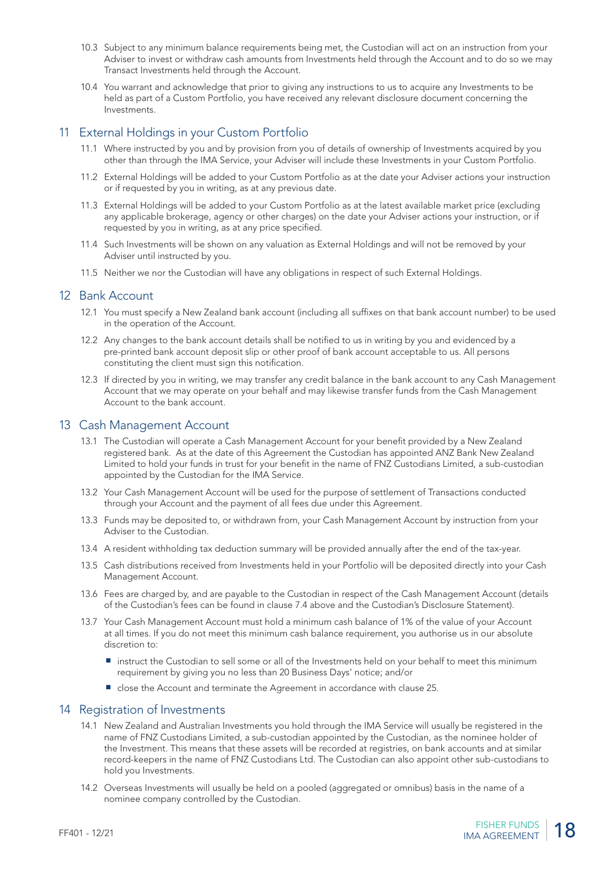- 10.3 Subject to any minimum balance requirements being met, the Custodian will act on an instruction from your Adviser to invest or withdraw cash amounts from Investments held through the Account and to do so we may Transact Investments held through the Account.
- 10.4 You warrant and acknowledge that prior to giving any instructions to us to acquire any Investments to be held as part of a Custom Portfolio, you have received any relevant disclosure document concerning the Investments.

#### 11 External Holdings in your Custom Portfolio

- 11.1 Where instructed by you and by provision from you of details of ownership of Investments acquired by you other than through the IMA Service, your Adviser will include these Investments in your Custom Portfolio.
- 11.2 External Holdings will be added to your Custom Portfolio as at the date your Adviser actions your instruction or if requested by you in writing, as at any previous date.
- 11.3 External Holdings will be added to your Custom Portfolio as at the latest available market price (excluding any applicable brokerage, agency or other charges) on the date your Adviser actions your instruction, or if requested by you in writing, as at any price specified.
- 11.4 Such Investments will be shown on any valuation as External Holdings and will not be removed by your Adviser until instructed by you.
- 11.5 Neither we nor the Custodian will have any obligations in respect of such External Holdings.

#### 12 Bank Account

- 12.1 You must specify a New Zealand bank account (including all suffixes on that bank account number) to be used in the operation of the Account.
- 12.2 Any changes to the bank account details shall be notified to us in writing by you and evidenced by a pre-printed bank account deposit slip or other proof of bank account acceptable to us. All persons constituting the client must sign this notification.
- 12.3 If directed by you in writing, we may transfer any credit balance in the bank account to any Cash Management Account that we may operate on your behalf and may likewise transfer funds from the Cash Management Account to the bank account.

#### 13 Cash Management Account

- 13.1 The Custodian will operate a Cash Management Account for your benefit provided by a New Zealand registered bank. As at the date of this Agreement the Custodian has appointed ANZ Bank New Zealand Limited to hold your funds in trust for your benefit in the name of FNZ Custodians Limited, a sub-custodian appointed by the Custodian for the IMA Service.
- 13.2 Your Cash Management Account will be used for the purpose of settlement of Transactions conducted through your Account and the payment of all fees due under this Agreement.
- 13.3 Funds may be deposited to, or withdrawn from, your Cash Management Account by instruction from your Adviser to the Custodian.
- 13.4 A resident withholding tax deduction summary will be provided annually after the end of the tax-year.
- 13.5 Cash distributions received from Investments held in your Portfolio will be deposited directly into your Cash Management Account.
- 13.6 Fees are charged by, and are payable to the Custodian in respect of the Cash Management Account (details of the Custodian's fees can be found in clause 7.4 above and the Custodian's Disclosure Statement).
- 13.7 Your Cash Management Account must hold a minimum cash balance of 1% of the value of your Account at all times. If you do not meet this minimum cash balance requirement, you authorise us in our absolute discretion to:
	- instruct the Custodian to sell some or all of the Investments held on your behalf to meet this minimum requirement by giving you no less than 20 Business Days' notice; and/or
	- close the Account and terminate the Agreement in accordance with clause 25.

#### 14 Registration of Investments

- 14.1 New Zealand and Australian Investments you hold through the IMA Service will usually be registered in the name of FNZ Custodians Limited, a sub-custodian appointed by the Custodian, as the nominee holder of the Investment. This means that these assets will be recorded at registries, on bank accounts and at similar record-keepers in the name of FNZ Custodians Ltd. The Custodian can also appoint other sub-custodians to hold you Investments.
- 14.2 Overseas Investments will usually be held on a pooled (aggregated or omnibus) basis in the name of a nominee company controlled by the Custodian.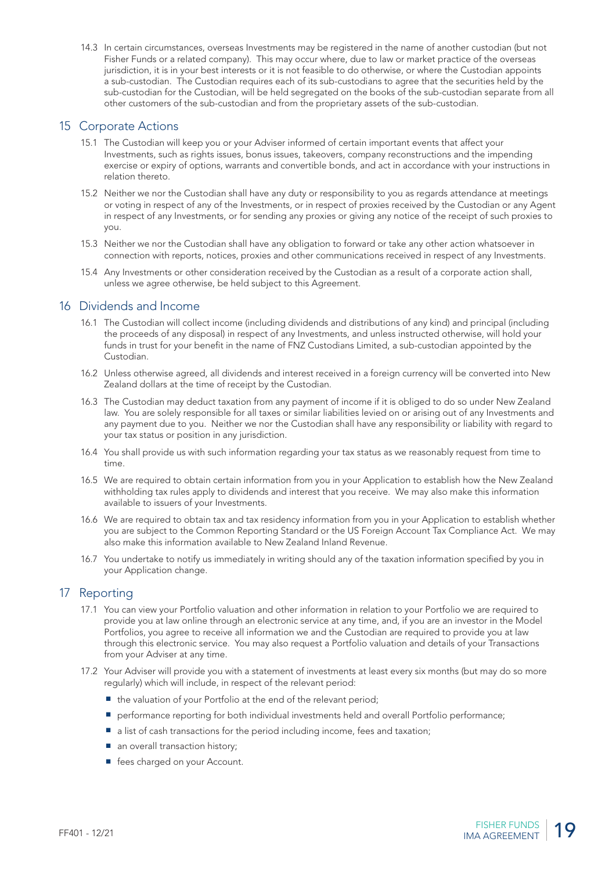14.3 In certain circumstances, overseas Investments may be registered in the name of another custodian (but not Fisher Funds or a related company). This may occur where, due to law or market practice of the overseas jurisdiction, it is in your best interests or it is not feasible to do otherwise, or where the Custodian appoints a sub-custodian. The Custodian requires each of its sub-custodians to agree that the securities held by the sub-custodian for the Custodian, will be held segregated on the books of the sub-custodian separate from all other customers of the sub-custodian and from the proprietary assets of the sub-custodian.

#### 15 Corporate Actions

- 15.1 The Custodian will keep you or your Adviser informed of certain important events that affect your Investments, such as rights issues, bonus issues, takeovers, company reconstructions and the impending exercise or expiry of options, warrants and convertible bonds, and act in accordance with your instructions in relation thereto.
- 15.2 Neither we nor the Custodian shall have any duty or responsibility to you as regards attendance at meetings or voting in respect of any of the Investments, or in respect of proxies received by the Custodian or any Agent in respect of any Investments, or for sending any proxies or giving any notice of the receipt of such proxies to you.
- 15.3 Neither we nor the Custodian shall have any obligation to forward or take any other action whatsoever in connection with reports, notices, proxies and other communications received in respect of any Investments.
- 15.4 Any Investments or other consideration received by the Custodian as a result of a corporate action shall, unless we agree otherwise, be held subject to this Agreement.

#### 16 Dividends and Income

- 16.1 The Custodian will collect income (including dividends and distributions of any kind) and principal (including the proceeds of any disposal) in respect of any Investments, and unless instructed otherwise, will hold your funds in trust for your benefit in the name of FNZ Custodians Limited, a sub-custodian appointed by the Custodian.
- 16.2 Unless otherwise agreed, all dividends and interest received in a foreign currency will be converted into New Zealand dollars at the time of receipt by the Custodian.
- 16.3 The Custodian may deduct taxation from any payment of income if it is obliged to do so under New Zealand law. You are solely responsible for all taxes or similar liabilities levied on or arising out of any Investments and any payment due to you. Neither we nor the Custodian shall have any responsibility or liability with regard to your tax status or position in any jurisdiction.
- 16.4 You shall provide us with such information regarding your tax status as we reasonably request from time to time.
- 16.5 We are required to obtain certain information from you in your Application to establish how the New Zealand withholding tax rules apply to dividends and interest that you receive. We may also make this information available to issuers of your Investments.
- 16.6 We are required to obtain tax and tax residency information from you in your Application to establish whether you are subject to the Common Reporting Standard or the US Foreign Account Tax Compliance Act. We may also make this information available to New Zealand Inland Revenue.
- 16.7 You undertake to notify us immediately in writing should any of the taxation information specified by you in your Application change.

# 17 Reporting

- 17.1 You can view your Portfolio valuation and other information in relation to your Portfolio we are required to provide you at law online through an electronic service at any time, and, if you are an investor in the Model Portfolios, you agree to receive all information we and the Custodian are required to provide you at law through this electronic service. You may also request a Portfolio valuation and details of your Transactions from your Adviser at any time.
- 17.2 Your Adviser will provide you with a statement of investments at least every six months (but may do so more regularly) which will include, in respect of the relevant period:
	- the valuation of your Portfolio at the end of the relevant period:
	- performance reporting for both individual investments held and overall Portfolio performance;
	- a list of cash transactions for the period including income, fees and taxation;
	- an overall transaction history;
	- fees charged on your Account.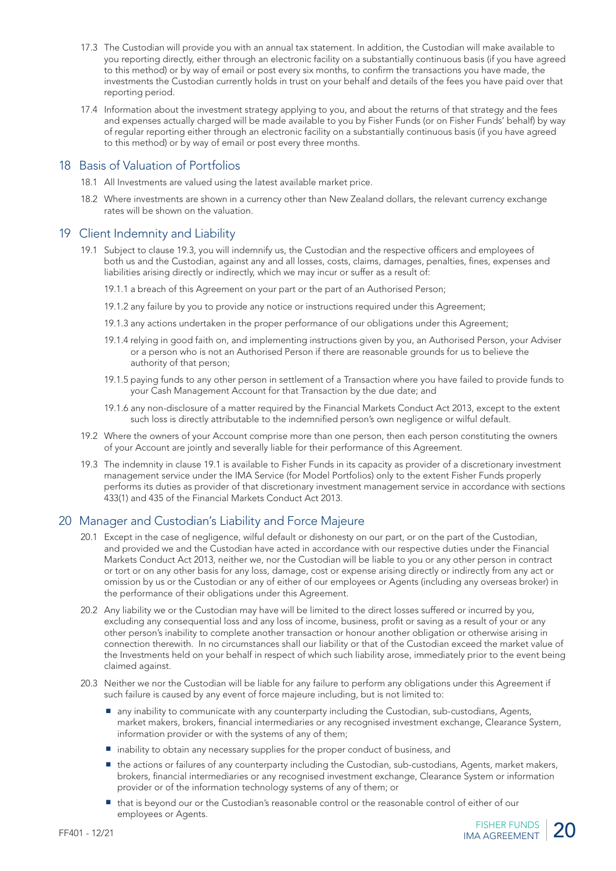- 17.3 The Custodian will provide you with an annual tax statement. In addition, the Custodian will make available to you reporting directly, either through an electronic facility on a substantially continuous basis (if you have agreed to this method) or by way of email or post every six months, to confirm the transactions you have made, the investments the Custodian currently holds in trust on your behalf and details of the fees you have paid over that reporting period.
- 17.4 Information about the investment strategy applying to you, and about the returns of that strategy and the fees and expenses actually charged will be made available to you by Fisher Funds (or on Fisher Funds' behalf) by way of regular reporting either through an electronic facility on a substantially continuous basis (if you have agreed to this method) or by way of email or post every three months.

#### 18 Basis of Valuation of Portfolios

- 18.1 All Investments are valued using the latest available market price.
- 18.2 Where investments are shown in a currency other than New Zealand dollars, the relevant currency exchange rates will be shown on the valuation.

#### 19 Client Indemnity and Liability

- 19.1 Subject to clause 19.3, you will indemnify us, the Custodian and the respective officers and employees of both us and the Custodian, against any and all losses, costs, claims, damages, penalties, fines, expenses and liabilities arising directly or indirectly, which we may incur or suffer as a result of:
	- 19.1.1 a breach of this Agreement on your part or the part of an Authorised Person;
	- 19.1.2 any failure by you to provide any notice or instructions required under this Agreement;
	- 19.1.3 any actions undertaken in the proper performance of our obligations under this Agreement;
	- 19.1.4 relying in good faith on, and implementing instructions given by you, an Authorised Person, your Adviser or a person who is not an Authorised Person if there are reasonable grounds for us to believe the authority of that person;
	- 19.1.5 paying funds to any other person in settlement of a Transaction where you have failed to provide funds to your Cash Management Account for that Transaction by the due date; and
	- 19.1.6 any non-disclosure of a matter required by the Financial Markets Conduct Act 2013, except to the extent such loss is directly attributable to the indemnified person's own negligence or wilful default.
- 19.2 Where the owners of your Account comprise more than one person, then each person constituting the owners of your Account are jointly and severally liable for their performance of this Agreement.
- 19.3 The indemnity in clause 19.1 is available to Fisher Funds in its capacity as provider of a discretionary investment management service under the IMA Service (for Model Portfolios) only to the extent Fisher Funds properly performs its duties as provider of that discretionary investment management service in accordance with sections 433(1) and 435 of the Financial Markets Conduct Act 2013.

# 20 Manager and Custodian's Liability and Force Majeure

- 20.1 Except in the case of negligence, wilful default or dishonesty on our part, or on the part of the Custodian, and provided we and the Custodian have acted in accordance with our respective duties under the Financial Markets Conduct Act 2013, neither we, nor the Custodian will be liable to you or any other person in contract or tort or on any other basis for any loss, damage, cost or expense arising directly or indirectly from any act or omission by us or the Custodian or any of either of our employees or Agents (including any overseas broker) in the performance of their obligations under this Agreement.
- 20.2 Any liability we or the Custodian may have will be limited to the direct losses suffered or incurred by you, excluding any consequential loss and any loss of income, business, profit or saving as a result of your or any other person's inability to complete another transaction or honour another obligation or otherwise arising in connection therewith. In no circumstances shall our liability or that of the Custodian exceed the market value of the Investments held on your behalf in respect of which such liability arose, immediately prior to the event being claimed against.
- 20.3 Neither we nor the Custodian will be liable for any failure to perform any obligations under this Agreement if such failure is caused by any event of force majeure including, but is not limited to:
	- any inability to communicate with any counterparty including the Custodian, sub-custodians, Agents, market makers, brokers, financial intermediaries or any recognised investment exchange, Clearance System, information provider or with the systems of any of them;
	- inability to obtain any necessary supplies for the proper conduct of business, and
	- the actions or failures of any counterparty including the Custodian, sub-custodians, Agents, market makers, brokers, financial intermediaries or any recognised investment exchange, Clearance System or information provider or of the information technology systems of any of them; or
	- that is beyond our or the Custodian's reasonable control or the reasonable control of either of our employees or Agents.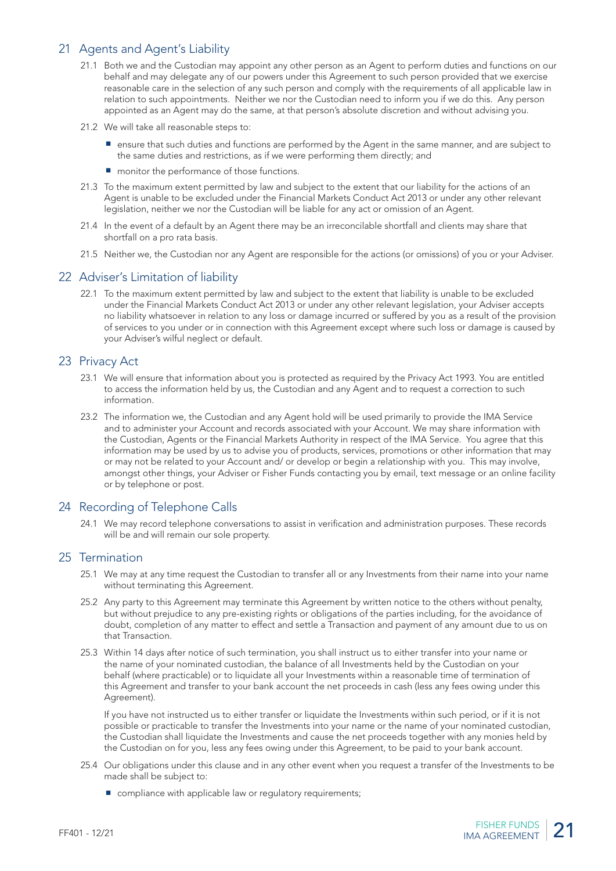# 21 Agents and Agent's Liability

- 21.1 Both we and the Custodian may appoint any other person as an Agent to perform duties and functions on our behalf and may delegate any of our powers under this Agreement to such person provided that we exercise reasonable care in the selection of any such person and comply with the requirements of all applicable law in relation to such appointments. Neither we nor the Custodian need to inform you if we do this. Any person appointed as an Agent may do the same, at that person's absolute discretion and without advising you.
- 21.2 We will take all reasonable steps to:
	- ensure that such duties and functions are performed by the Agent in the same manner, and are subject to the same duties and restrictions, as if we were performing them directly; and
	- monitor the performance of those functions.
- 21.3 To the maximum extent permitted by law and subject to the extent that our liability for the actions of an Agent is unable to be excluded under the Financial Markets Conduct Act 2013 or under any other relevant legislation, neither we nor the Custodian will be liable for any act or omission of an Agent.
- 21.4 In the event of a default by an Agent there may be an irreconcilable shortfall and clients may share that shortfall on a pro rata basis.
- 21.5 Neither we, the Custodian nor any Agent are responsible for the actions (or omissions) of you or your Adviser.

#### 22 Adviser's Limitation of liability

22.1 To the maximum extent permitted by law and subject to the extent that liability is unable to be excluded under the Financial Markets Conduct Act 2013 or under any other relevant legislation, your Adviser accepts no liability whatsoever in relation to any loss or damage incurred or suffered by you as a result of the provision of services to you under or in connection with this Agreement except where such loss or damage is caused by your Adviser's wilful neglect or default.

#### 23 Privacy Act

- 23.1 We will ensure that information about you is protected as required by the Privacy Act 1993. You are entitled to access the information held by us, the Custodian and any Agent and to request a correction to such information.
- 23.2 The information we, the Custodian and any Agent hold will be used primarily to provide the IMA Service and to administer your Account and records associated with your Account. We may share information with the Custodian, Agents or the Financial Markets Authority in respect of the IMA Service. You agree that this information may be used by us to advise you of products, services, promotions or other information that may or may not be related to your Account and/ or develop or begin a relationship with you. This may involve, amongst other things, your Adviser or Fisher Funds contacting you by email, text message or an online facility or by telephone or post.

#### 24 Recording of Telephone Calls

24.1 We may record telephone conversations to assist in verification and administration purposes. These records will be and will remain our sole property.

#### 25 Termination

- 25.1 We may at any time request the Custodian to transfer all or any Investments from their name into your name without terminating this Agreement.
- 25.2 Any party to this Agreement may terminate this Agreement by written notice to the others without penalty, but without prejudice to any pre-existing rights or obligations of the parties including, for the avoidance of doubt, completion of any matter to effect and settle a Transaction and payment of any amount due to us on that Transaction.
- 25.3 Within 14 days after notice of such termination, you shall instruct us to either transfer into your name or the name of your nominated custodian, the balance of all Investments held by the Custodian on your behalf (where practicable) or to liquidate all your Investments within a reasonable time of termination of this Agreement and transfer to your bank account the net proceeds in cash (less any fees owing under this Agreement).

If you have not instructed us to either transfer or liquidate the Investments within such period, or if it is not possible or practicable to transfer the Investments into your name or the name of your nominated custodian, the Custodian shall liquidate the Investments and cause the net proceeds together with any monies held by the Custodian on for you, less any fees owing under this Agreement, to be paid to your bank account.

- 25.4 Our obligations under this clause and in any other event when you request a transfer of the Investments to be made shall be subject to:
	- compliance with applicable law or regulatory requirements;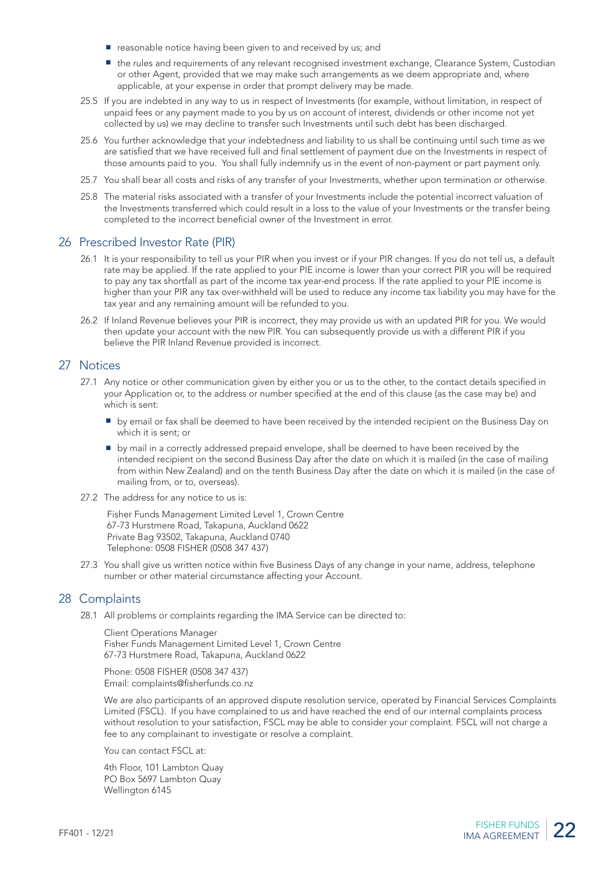- reasonable notice having been given to and received by us; and
- the rules and requirements of any relevant recognised investment exchange, Clearance System, Custodian or other Agent, provided that we may make such arrangements as we deem appropriate and, where applicable, at your expense in order that prompt delivery may be made.
- 25.5 If you are indebted in any way to us in respect of Investments (for example, without limitation, in respect of unpaid fees or any payment made to you by us on account of interest, dividends or other income not yet collected by us) we may decline to transfer such Investments until such debt has been discharged.
- 25.6 You further acknowledge that your indebtedness and liability to us shall be continuing until such time as we are satisfied that we have received full and final settlement of payment due on the Investments in respect of those amounts paid to you. You shall fully indemnify us in the event of non-payment or part payment only.
- 25.7 You shall bear all costs and risks of any transfer of your Investments, whether upon termination or otherwise.
- 25.8 The material risks associated with a transfer of your Investments include the potential incorrect valuation of the Investments transferred which could result in a loss to the value of your Investments or the transfer being completed to the incorrect beneficial owner of the Investment in error.

#### 26 Prescribed Investor Rate (PIR)

- 26.1 It is your responsibility to tell us your PIR when you invest or if your PIR changes. If you do not tell us, a default rate may be applied. If the rate applied to your PIE income is lower than your correct PIR you will be required to pay any tax shortfall as part of the income tax year-end process. If the rate applied to your PIE income is higher than your PIR any tax over-withheld will be used to reduce any income tax liability you may have for the tax year and any remaining amount will be refunded to you.
- 26.2 If Inland Revenue believes your PIR is incorrect, they may provide us with an updated PIR for you. We would then update your account with the new PIR. You can subsequently provide us with a different PIR if you believe the PIR Inland Revenue provided is incorrect.

#### 27 Notices

- 27.1 Any notice or other communication given by either you or us to the other, to the contact details specified in your Application or, to the address or number specified at the end of this clause (as the case may be) and which is sent:
	- by email or fax shall be deemed to have been received by the intended recipient on the Business Day on which it is sent; or
	- by mail in a correctly addressed prepaid envelope, shall be deemed to have been received by the intended recipient on the second Business Day after the date on which it is mailed (in the case of mailing from within New Zealand) and on the tenth Business Day after the date on which it is mailed (in the case of mailing from, or to, overseas).
- 27.2 The address for any notice to us is:

Fisher Funds Management Limited Level 1, Crown Centre 67-73 Hurstmere Road, Takapuna, Auckland 0622 Private Bag 93502, Takapuna, Auckland 0740 Telephone: 0508 FISHER (0508 347 437)

27.3 You shall give us written notice within five Business Days of any change in your name, address, telephone number or other material circumstance affecting your Account.

#### 28 Complaints

28.1 All problems or complaints regarding the IMA Service can be directed to:

Client Operations Manager Fisher Funds Management Limited Level 1, Crown Centre 67-73 Hurstmere Road, Takapuna, Auckland 0622

Phone: 0508 FISHER (0508 347 437) Email: complaints@fisherfunds.co.nz

We are also participants of an approved dispute resolution service, operated by Financial Services Complaints Limited (FSCL). If you have complained to us and have reached the end of our internal complaints process without resolution to your satisfaction, FSCL may be able to consider your complaint. FSCL will not charge a fee to any complainant to investigate or resolve a complaint.

You can contact FSCL at:

4th Floor, 101 Lambton Quay PO Box 5697 Lambton Quay Wellington 6145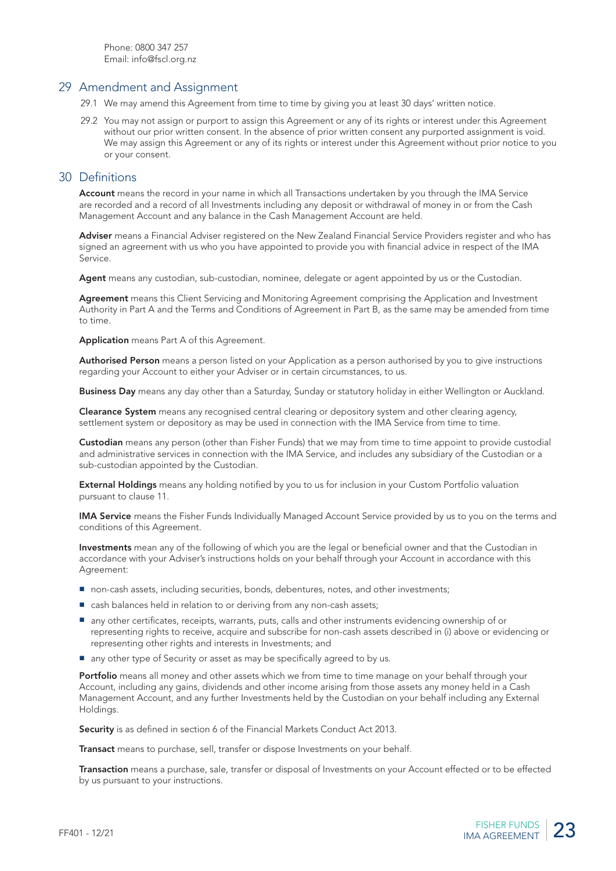#### 29 Amendment and Assignment

- 29.1 We may amend this Agreement from time to time by giving you at least 30 days' written notice.
- 29.2 You may not assign or purport to assign this Agreement or any of its rights or interest under this Agreement without our prior written consent. In the absence of prior written consent any purported assignment is void. We may assign this Agreement or any of its rights or interest under this Agreement without prior notice to you or your consent.

#### 30 Definitions

Account means the record in your name in which all Transactions undertaken by you through the IMA Service are recorded and a record of all Investments including any deposit or withdrawal of money in or from the Cash Management Account and any balance in the Cash Management Account are held.

Adviser means a Financial Adviser registered on the New Zealand Financial Service Providers register and who has signed an agreement with us who you have appointed to provide you with financial advice in respect of the IMA Service.

Agent means any custodian, sub-custodian, nominee, delegate or agent appointed by us or the Custodian.

Agreement means this Client Servicing and Monitoring Agreement comprising the Application and Investment Authority in Part A and the Terms and Conditions of Agreement in Part B, as the same may be amended from time to time.

Application means Part A of this Agreement.

Authorised Person means a person listed on your Application as a person authorised by you to give instructions regarding your Account to either your Adviser or in certain circumstances, to us.

Business Day means any day other than a Saturday, Sunday or statutory holiday in either Wellington or Auckland.

Clearance System means any recognised central clearing or depository system and other clearing agency, settlement system or depository as may be used in connection with the IMA Service from time to time.

Custodian means any person (other than Fisher Funds) that we may from time to time appoint to provide custodial and administrative services in connection with the IMA Service, and includes any subsidiary of the Custodian or a sub-custodian appointed by the Custodian.

External Holdings means any holding notified by you to us for inclusion in your Custom Portfolio valuation pursuant to clause 11.

IMA Service means the Fisher Funds Individually Managed Account Service provided by us to you on the terms and conditions of this Agreement.

Investments mean any of the following of which you are the legal or beneficial owner and that the Custodian in accordance with your Adviser's instructions holds on your behalf through your Account in accordance with this Agreement:

- non-cash assets, including securities, bonds, debentures, notes, and other investments;
- cash balances held in relation to or deriving from any non-cash assets;
- any other certificates, receipts, warrants, puts, calls and other instruments evidencing ownership of or representing rights to receive, acquire and subscribe for non-cash assets described in (i) above or evidencing or representing other rights and interests in Investments; and
- any other type of Security or asset as may be specifically agreed to by us.

Portfolio means all money and other assets which we from time to time manage on your behalf through your Account, including any gains, dividends and other income arising from those assets any money held in a Cash Management Account, and any further Investments held by the Custodian on your behalf including any External Holdings.

Security is as defined in section 6 of the Financial Markets Conduct Act 2013.

Transact means to purchase, sell, transfer or dispose Investments on your behalf.

Transaction means a purchase, sale, transfer or disposal of Investments on your Account effected or to be effected by us pursuant to your instructions.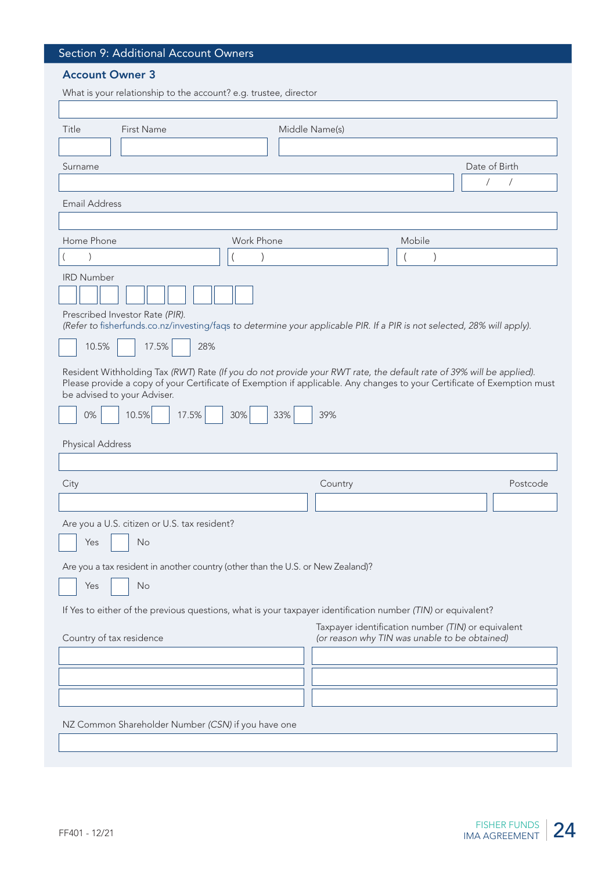# Section 9: Additional Account Owners

# Account Owner 3

| What is your relationship to the account? e.g. trustee, director                                                                                                                                                                                                              |            |                                                                                                     |               |                                           |
|-------------------------------------------------------------------------------------------------------------------------------------------------------------------------------------------------------------------------------------------------------------------------------|------------|-----------------------------------------------------------------------------------------------------|---------------|-------------------------------------------|
|                                                                                                                                                                                                                                                                               |            |                                                                                                     |               |                                           |
| Title<br>First Name                                                                                                                                                                                                                                                           |            | Middle Name(s)                                                                                      |               |                                           |
|                                                                                                                                                                                                                                                                               |            |                                                                                                     |               |                                           |
| Surname                                                                                                                                                                                                                                                                       |            |                                                                                                     |               | Date of Birth<br>$\sqrt{2}$<br>$\sqrt{2}$ |
|                                                                                                                                                                                                                                                                               |            |                                                                                                     |               |                                           |
| <b>Email Address</b>                                                                                                                                                                                                                                                          |            |                                                                                                     |               |                                           |
| Home Phone                                                                                                                                                                                                                                                                    | Work Phone |                                                                                                     | Mobile        |                                           |
|                                                                                                                                                                                                                                                                               |            |                                                                                                     | $\mathcal{E}$ |                                           |
| <b>IRD Number</b>                                                                                                                                                                                                                                                             |            |                                                                                                     |               |                                           |
|                                                                                                                                                                                                                                                                               |            |                                                                                                     |               |                                           |
| Prescribed Investor Rate (PIR).<br>(Refer to fisherfunds.co.nz/investing/faqs to determine your applicable PIR. If a PIR is not selected, 28% will apply).                                                                                                                    |            |                                                                                                     |               |                                           |
| 10.5%<br>17.5%<br>28%                                                                                                                                                                                                                                                         |            |                                                                                                     |               |                                           |
| Resident Withholding Tax (RWT) Rate (If you do not provide your RWT rate, the default rate of 39% will be applied).<br>Please provide a copy of your Certificate of Exemption if applicable. Any changes to your Certificate of Exemption must<br>be advised to your Adviser. |            |                                                                                                     |               |                                           |
| 0%<br>10.5%<br>17.5%                                                                                                                                                                                                                                                          | 30%<br>33% | 39%                                                                                                 |               |                                           |
| <b>Physical Address</b>                                                                                                                                                                                                                                                       |            |                                                                                                     |               |                                           |
|                                                                                                                                                                                                                                                                               |            |                                                                                                     |               |                                           |
| City                                                                                                                                                                                                                                                                          |            | Country                                                                                             |               | Postcode                                  |
|                                                                                                                                                                                                                                                                               |            |                                                                                                     |               |                                           |
| Are you a U.S. citizen or U.S. tax resident?                                                                                                                                                                                                                                  |            |                                                                                                     |               |                                           |
| Yes<br>No                                                                                                                                                                                                                                                                     |            |                                                                                                     |               |                                           |
|                                                                                                                                                                                                                                                                               |            |                                                                                                     |               |                                           |
| Are you a tax resident in another country (other than the U.S. or New Zealand)?                                                                                                                                                                                               |            |                                                                                                     |               |                                           |
| No<br>Yes                                                                                                                                                                                                                                                                     |            |                                                                                                     |               |                                           |
| If Yes to either of the previous questions, what is your taxpayer identification number (TIN) or equivalent?                                                                                                                                                                  |            |                                                                                                     |               |                                           |
| Country of tax residence                                                                                                                                                                                                                                                      |            | Taxpayer identification number (TIN) or equivalent<br>(or reason why TIN was unable to be obtained) |               |                                           |
|                                                                                                                                                                                                                                                                               |            |                                                                                                     |               |                                           |
|                                                                                                                                                                                                                                                                               |            |                                                                                                     |               |                                           |
|                                                                                                                                                                                                                                                                               |            |                                                                                                     |               |                                           |
| NZ Common Shareholder Number (CSN) if you have one                                                                                                                                                                                                                            |            |                                                                                                     |               |                                           |
|                                                                                                                                                                                                                                                                               |            |                                                                                                     |               |                                           |
|                                                                                                                                                                                                                                                                               |            |                                                                                                     |               |                                           |